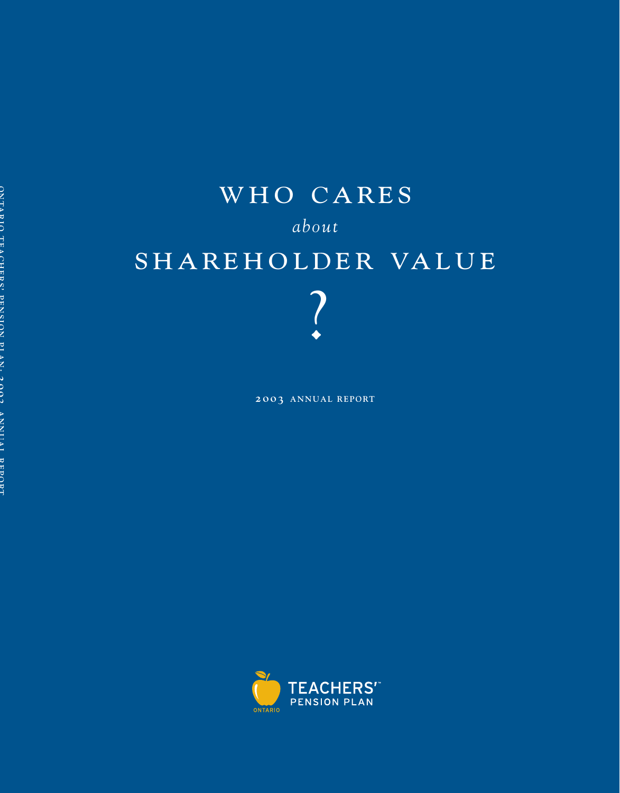# who cares *about* shareholder value ?

**2003 ANNUAL REPORT**

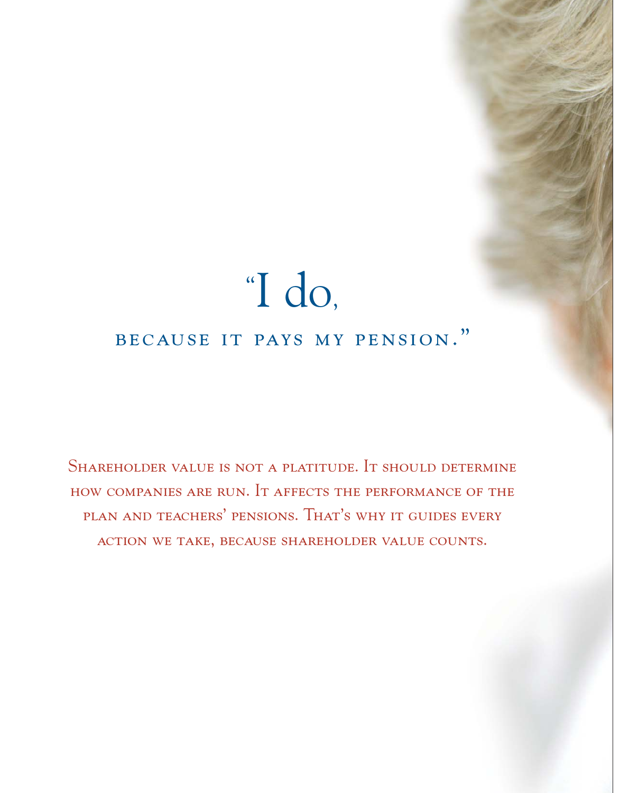# " I do, because it pays my pension."

SHAREHOLDER VALUE IS NOT A PLATITUDE. IT SHOULD DETERMINE how companies are run. It affects the performance of the plan and teachers' pensions. That's why it guides every action we take, because shareholder value counts.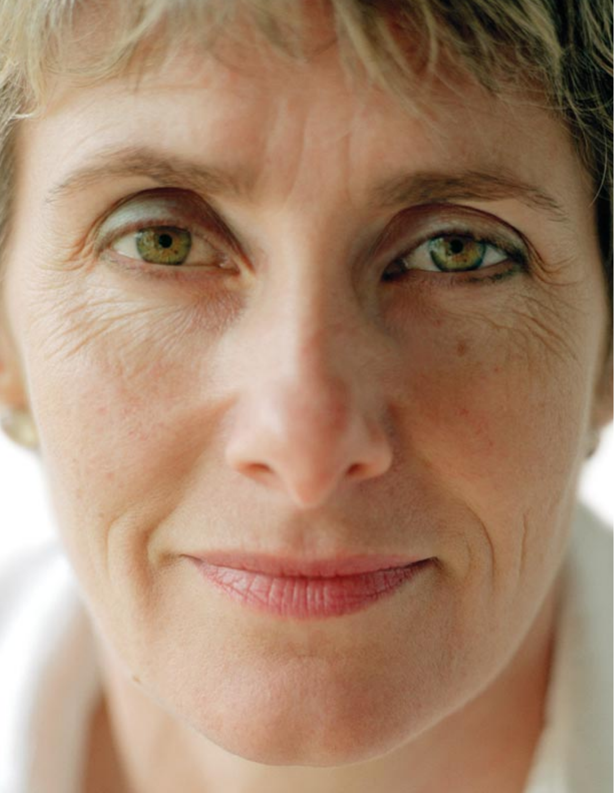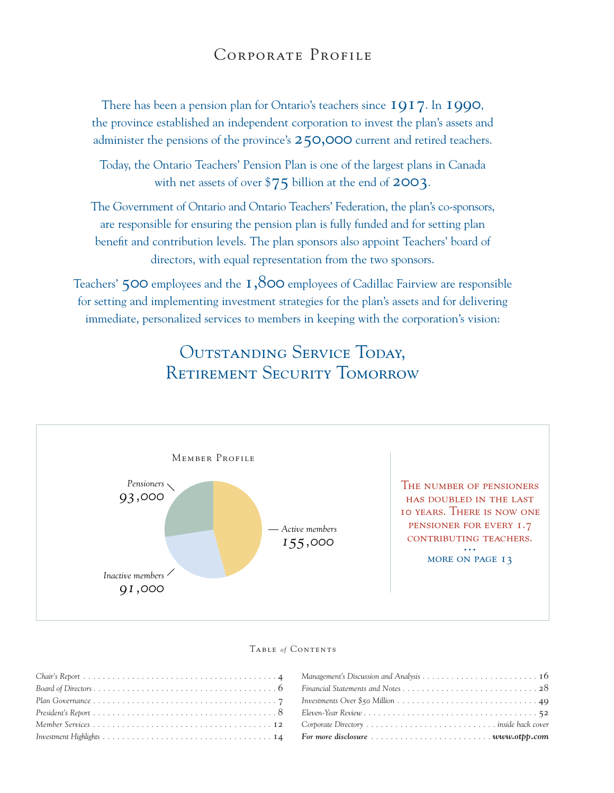# CORPORATE PROFILE

There has been a pension plan for Ontario's teachers since 1917. In 1990, the province established an independent corporation to invest the plan's assets and administer the pensions of the province's 250,000 current and retired teachers.

Today, the Ontario Teachers' Pension Plan is one of the largest plans in Canada with net assets of over \$75 billion at the end of 2003.

The Government of Ontario and Ontario Teachers' Federation, the plan's co-sponsors, are responsible for ensuring the pension plan is fully funded and for setting plan benefit and contribution levels. The plan sponsors also appoint Teachers' board of directors, with equal representation from the two sponsors.

Teachers' 500 employees and the  $1,800$  employees of Cadillac Fairview are responsible for setting and implementing investment strategies for the plan's assets and for delivering immediate, personalized services to members in keeping with the corporation's vision:

# OUTSTANDING SERVICE TODAY, RETIREMENT SECURITY TOMORROW



#### Table *of* Contents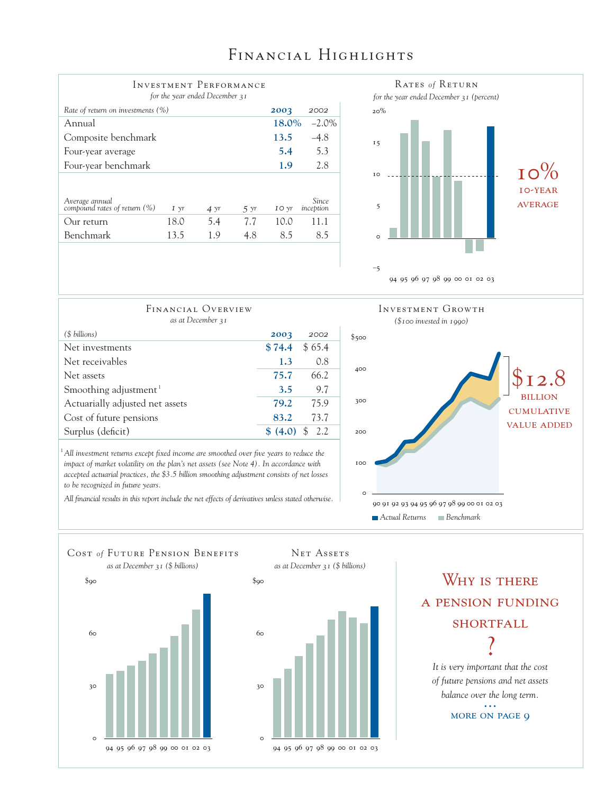# Financial Highlights

| INVESTMENT PERFORMANCE<br>for the year ended December 31 |              |                |                |       |                    |
|----------------------------------------------------------|--------------|----------------|----------------|-------|--------------------|
| Rate of return on investments (%)                        |              |                |                | 2003  | 2002               |
| Annual                                                   |              |                |                | 18.0% | $-2.0\%$           |
| Composite benchmark                                      |              |                |                | 13.5  | $-4.8$             |
| Four-year average                                        |              |                |                | 5.4   | 5.3                |
| Four-year benchmark                                      |              |                |                | 1.9   | 2.8                |
| Average annual<br>compound rates of return (%)           | $I \gamma r$ | $4 \text{ yr}$ | $5 \text{ yr}$ | IO yr | Since<br>inception |
| Our return)                                              | 18.0         | 5.4            | 7.7            | 10.0  | 11.1               |
| Benchmark                                                | 13.5         | 1.9            | 4.8            | 8.5   | 8.5                |
|                                                          |              |                |                |       |                    |



| FINANCIAL OVERVIEW<br>as at December 31 |        |        |  |
|-----------------------------------------|--------|--------|--|
| (\$ billions)                           | 2003   | 2002   |  |
| Net investments                         | \$74.4 | \$65.4 |  |
| Net receivables                         | 1.3    | 0.8    |  |
| Net assets                              | 75.7   | 66.2   |  |
| Smoothing adjustment <sup>1</sup>       | 3.5    | 9.7    |  |
| Actuarially adjusted net assets         | 79.2   | 75.9   |  |
| Cost of future pensions                 | 83.2   | 73.7   |  |
| Surplus (deficit)                       |        | 2.2    |  |

1 *All investment returns except fixed income are smoothed over five years to reduce the impact of market volatility on the plan's net assets (see Note 4). In accordance with accepted actuarial practices, the \$3.5 billion smoothing adjustment consists of net losses to be recognized in future years.*

*All financial results in this report include the net effects of derivatives unless stated otherwise.*





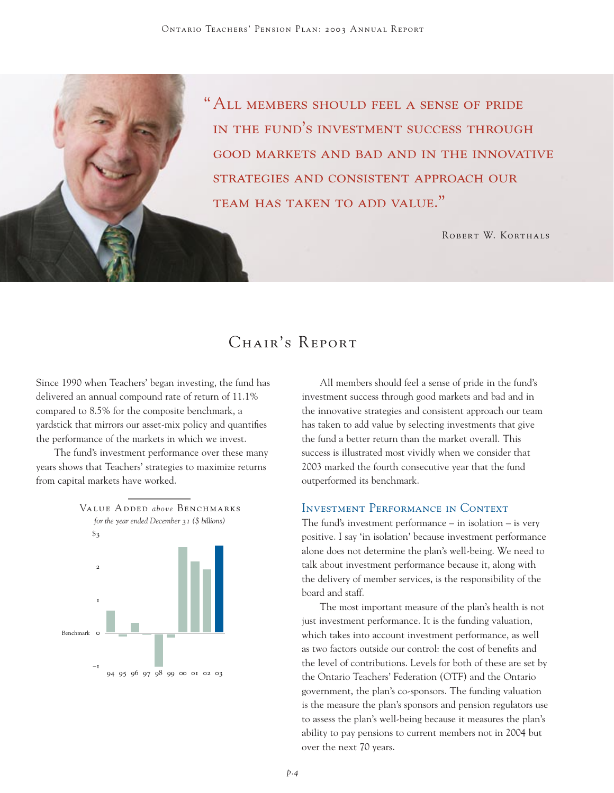

"All members should feel a sense of pride in the fund's investment success through good markets and bad and in the innovative strategies and consistent approach our team has taken to add value."

ROBERT W. KORTHALS

## Chair's Report

Since 1990 when Teachers' began investing, the fund has delivered an annual compound rate of return of 11.1% compared to 8.5% for the composite benchmark, a yardstick that mirrors our asset-mix policy and quantifies the performance of the markets in which we invest.

The fund's investment performance over these many years shows that Teachers' strategies to maximize returns from capital markets have worked.



All members should feel a sense of pride in the fund's investment success through good markets and bad and in the innovative strategies and consistent approach our team has taken to add value by selecting investments that give the fund a better return than the market overall. This success is illustrated most vividly when we consider that 2003 marked the fourth consecutive year that the fund outperformed its benchmark.

#### Investment Performance in Context

The fund's investment performance – in isolation – is very positive. I say 'in isolation' because investment performance alone does not determine the plan's well-being. We need to talk about investment performance because it, along with the delivery of member services, is the responsibility of the board and staff.

The most important measure of the plan's health is not just investment performance. It is the funding valuation, which takes into account investment performance, as well as two factors outside our control: the cost of benefits and the level of contributions. Levels for both of these are set by the Ontario Teachers' Federation (OTF) and the Ontario government, the plan's co-sponsors. The funding valuation is the measure the plan's sponsors and pension regulators use to assess the plan's well-being because it measures the plan's ability to pay pensions to current members not in 2004 but over the next 70 years.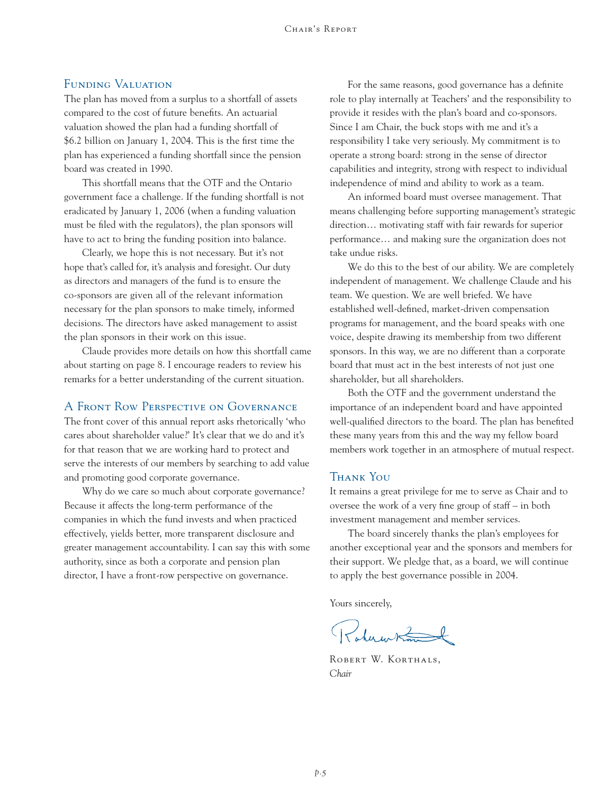#### Funding Valuation

The plan has moved from a surplus to a shortfall of assets compared to the cost of future benefits. An actuarial valuation showed the plan had a funding shortfall of \$6.2 billion on January 1, 2004. This is the first time the plan has experienced a funding shortfall since the pension board was created in 1990.

This shortfall means that the OTF and the Ontario government face a challenge. If the funding shortfall is not eradicated by January 1, 2006 (when a funding valuation must be filed with the regulators), the plan sponsors will have to act to bring the funding position into balance.

Clearly, we hope this is not necessary. But it's not hope that's called for, it's analysis and foresight. Our duty as directors and managers of the fund is to ensure the co-sponsors are given all of the relevant information necessary for the plan sponsors to make timely, informed decisions. The directors have asked management to assist the plan sponsors in their work on this issue.

Claude provides more details on how this shortfall came about starting on page 8. I encourage readers to review his remarks for a better understanding of the current situation.

#### A Front Row Perspective on Governance

The front cover of this annual report asks rhetorically 'who cares about shareholder value?' It's clear that we do and it's for that reason that we are working hard to protect and serve the interests of our members by searching to add value and promoting good corporate governance.

Why do we care so much about corporate governance? Because it affects the long-term performance of the companies in which the fund invests and when practiced effectively, yields better, more transparent disclosure and greater management accountability. I can say this with some authority, since as both a corporate and pension plan director, I have a front-row perspective on governance.

For the same reasons, good governance has a definite role to play internally at Teachers' and the responsibility to provide it resides with the plan's board and co-sponsors. Since I am Chair, the buck stops with me and it's a responsibility I take very seriously. My commitment is to operate a strong board: strong in the sense of director capabilities and integrity, strong with respect to individual independence of mind and ability to work as a team.

An informed board must oversee management. That means challenging before supporting management's strategic direction… motivating staff with fair rewards for superior performance… and making sure the organization does not take undue risks.

We do this to the best of our ability. We are completely independent of management. We challenge Claude and his team. We question. We are well briefed. We have established well-defined, market-driven compensation programs for management, and the board speaks with one voice, despite drawing its membership from two different sponsors. In this way, we are no different than a corporate board that must act in the best interests of not just one shareholder, but all shareholders.

Both the OTF and the government understand the importance of an independent board and have appointed well-qualified directors to the board. The plan has benefited these many years from this and the way my fellow board members work together in an atmosphere of mutual respect.

#### Thank You

It remains a great privilege for me to serve as Chair and to oversee the work of a very fine group of staff – in both investment management and member services.

The board sincerely thanks the plan's employees for another exceptional year and the sponsors and members for their support. We pledge that, as a board, we will continue to apply the best governance possible in 2004.

Yours sincerely,

Robert

ROBERT W. KORTHALS, *Chair*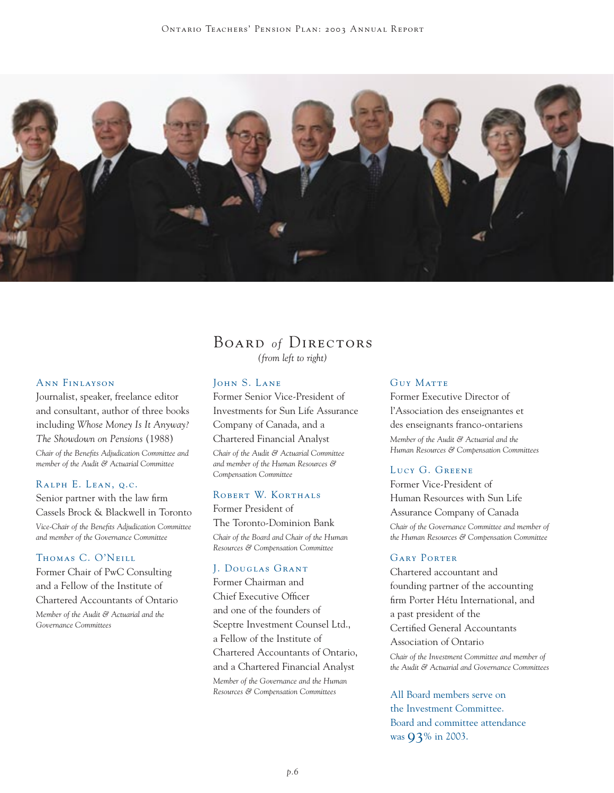

#### Ann Finlayson

Journalist, speaker, freelance editor and consultant, author of three books including *Whose Money Is It Anyway? The Showdown on Pensions* (1988) *Chair of the Benefits Adjudication Committee and member of the Audit & Actuarial Committee*

#### Ralph E. Lean, q.c.

Senior partner with the law firm Cassels Brock & Blackwell in Toronto *Vice-Chair of the Benefits Adjudication Committee and member of the Governance Committee*

#### Thomas C. O'Neill

Former Chair of PwC Consulting and a Fellow of the Institute of Chartered Accountants of Ontario *Member of the Audit & Actuarial and the*

*Governance Committees*

## Board *of* Directors *(from left to right)*

#### John S. Lane

Former Senior Vice-President of Investments for Sun Life Assurance Company of Canada, and a Chartered Financial Analyst *Chair of the Audit & Actuarial Committee and member of the Human Resources & Compensation Committee*

#### ROBERT W. KORTHALS

Former President of The Toronto-Dominion Bank *Chair of the Board and Chair of the Human Resources & Compensation Committee*

#### J. Douglas Grant

Former Chairman and Chief Executive Officer and one of the founders of Sceptre Investment Counsel Ltd., a Fellow of the Institute of Chartered Accountants of Ontario, and a Chartered Financial Analyst *Member of the Governance and the Human*

*Resources & Compensation Committees*

#### Guy Matte

Former Executive Director of l'Association des enseignantes et des enseignants franco-ontariens *Member of the Audit & Actuarial and the Human Resources & Compensation Committees*

#### LUCY G. GREENE

Former Vice-President of Human Resources with Sun Life Assurance Company of Canada *Chair of the Governance Committee and member of the Human Resources & Compensation Committee*

#### GARY PORTER

Chartered accountant and founding partner of the accounting firm Porter Hétu International, and a past president of the Certified General Accountants Association of Ontario *Chair of the Investment Committee and member of the Audit & Actuarial and Governance Committees*

All Board members serve on the Investment Committee. Board and committee attendance was 93% in 2003.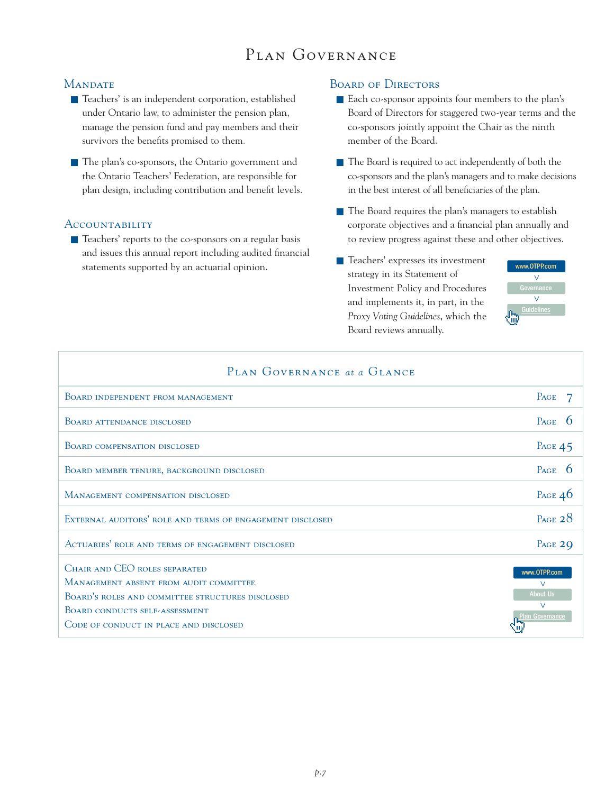# Plan Governance

### **MANDATE**

- Teachers' is an independent corporation, established under Ontario law, to administer the pension plan, manage the pension fund and pay members and their survivors the benefits promised to them.
- The plan's co-sponsors, the Ontario government and the Ontario Teachers' Federation, are responsible for plan design, including contribution and benefit levels.

#### **ACCOUNTABILITY**

■ Teachers' reports to the co-sponsors on a regular basis and issues this annual report including audited financial statements supported by an actuarial opinion.

#### BOARD OF DIRECTORS

- Each co-sponsor appoints four members to the plan's Board of Directors for staggered two-year terms and the co-sponsors jointly appoint the Chair as the ninth member of the Board.
- The Board is required to act independently of both the co-sponsors and the plan's managers and to make decisions in the best interest of all beneficiaries of the plan.
- The Board requires the plan's managers to establish corporate objectives and a financial plan annually and to review progress against these and other objectives.
- Teachers' expresses its investment strategy in its Statement of Investment Policy and Procedures and implements it, in part, in the *Proxy Voting Guidelines*, which the Board reviews annually.



| PLAN GOVERNANCE at a GLANCE                               |                       |
|-----------------------------------------------------------|-----------------------|
| BOARD INDEPENDENT FROM MANAGEMENT                         | PAGE 7                |
| BOARD ATTENDANCE DISCLOSED                                | PAGE 0                |
| BOARD COMPENSATION DISCLOSED                              | PAGE $45$             |
| BOARD MEMBER TENURE, BACKGROUND DISCLOSED                 | $P_{AGE}$ 6           |
| MANAGEMENT COMPENSATION DISCLOSED                         | PAGE $46$             |
| EXTERNAL AUDITORS' ROLE AND TERMS OF ENGAGEMENT DISCLOSED | PAGE $28$             |
| ACTUARIES' ROLE AND TERMS OF ENGAGEMENT DISCLOSED         | PAGE 29               |
| CHAIR AND CEO ROLES SEPARATED                             | www.OTPP.com          |
| MANAGEMENT ABSENT FROM AUDIT COMMITTEE                    | $\vee$                |
| BOARD'S ROLES AND COMMITTEE STRUCTURES DISCLOSED          | <b>About Us</b>       |
| BOARD CONDUCTS SELF-ASSESSMENT                            | $\vee$                |
| CODE OF CONDUCT IN PLACE AND DISCLOSED                    | <b>lan Governance</b> |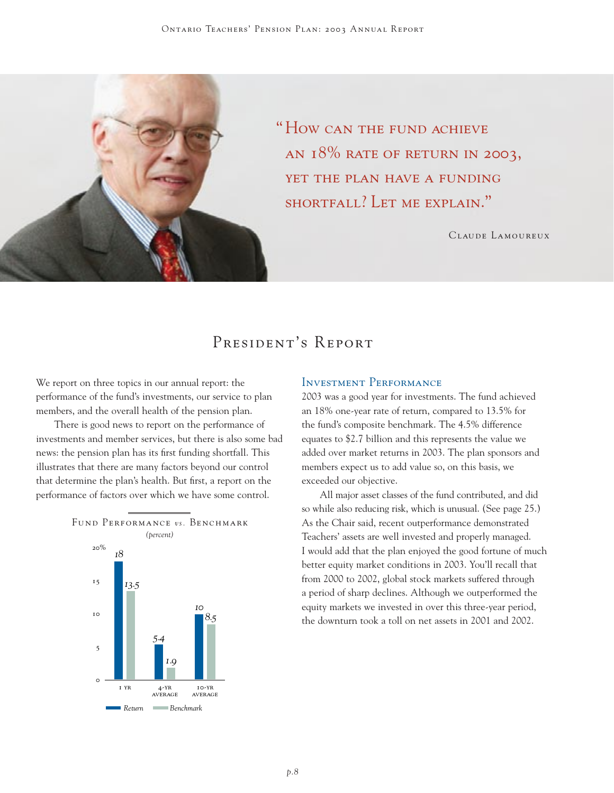

" How can the fund achieve AN  $18\%$  RATE OF RETURN IN 2003, yet the plan have a funding shortfall? Let me explain."

Claude Lamoureux

# PRESIDENT'S REPORT

We report on three topics in our annual report: the performance of the fund's investments, our service to plan members, and the overall health of the pension plan.

There is good news to report on the performance of investments and member services, but there is also some bad news: the pension plan has its first funding shortfall. This illustrates that there are many factors beyond our control that determine the plan's health. But first, a report on the performance of factors over which we have some control.



#### Investment Performance

2003 was a good year for investments. The fund achieved an 18% one-year rate of return, compared to 13.5% for the fund's composite benchmark. The 4.5% difference equates to \$2.7 billion and this represents the value we added over market returns in 2003. The plan sponsors and members expect us to add value so, on this basis, we exceeded our objective.

All major asset classes of the fund contributed, and did so while also reducing risk, which is unusual. (See page 25.) As the Chair said, recent outperformance demonstrated Teachers' assets are well invested and properly managed. I would add that the plan enjoyed the good fortune of much better equity market conditions in 2003. You'll recall that from 2000 to 2002, global stock markets suffered through a period of sharp declines. Although we outperformed the equity markets we invested in over this three-year period, the downturn took a toll on net assets in 2001 and 2002.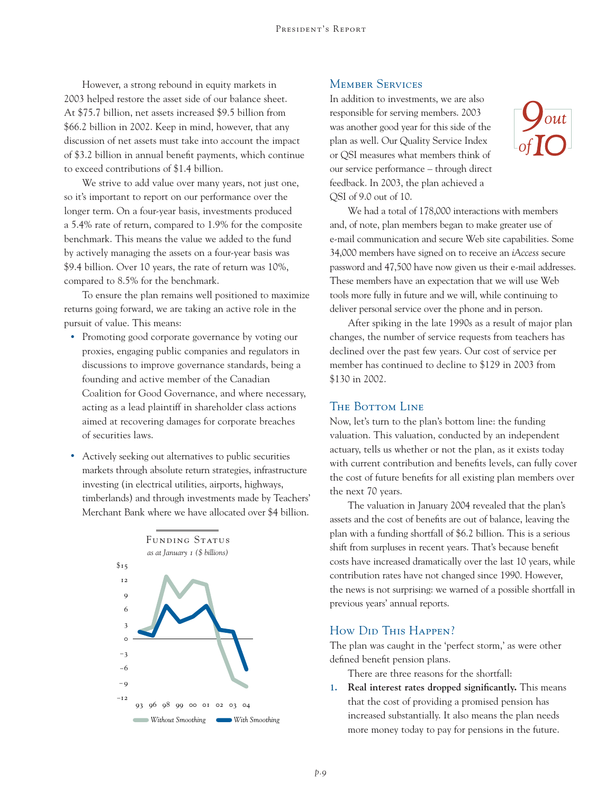However, a strong rebound in equity markets in 2003 helped restore the asset side of our balance sheet. At \$75.7 billion, net assets increased \$9.5 billion from \$66.2 billion in 2002. Keep in mind, however, that any discussion of net assets must take into account the impact of \$3.2 billion in annual benefit payments, which continue to exceed contributions of \$1.4 billion.

We strive to add value over many years, not just one, so it's important to report on our performance over the longer term. On a four-year basis, investments produced a 5.4% rate of return, compared to 1.9% for the composite benchmark. This means the value we added to the fund by actively managing the assets on a four-year basis was \$9.4 billion. Over 10 years, the rate of return was 10%, compared to 8.5% for the benchmark.

To ensure the plan remains well positioned to maximize returns going forward, we are taking an active role in the pursuit of value. This means:

- Promoting good corporate governance by voting our proxies, engaging public companies and regulators in discussions to improve governance standards, being a founding and active member of the Canadian Coalition for Good Governance, and where necessary, acting as a lead plaintiff in shareholder class actions aimed at recovering damages for corporate breaches of securities laws.
- Actively seeking out alternatives to public securities markets through absolute return strategies, infrastructure investing (in electrical utilities, airports, highways, timberlands) and through investments made by Teachers' Merchant Bank where we have allocated over \$4 billion.



#### Member Services

In addition to investments, we are also responsible for serving members. 2003 was another good year for this side of the plan as well. Our Quality Service Index or QSI measures what members think of our service performance – through direct feedback. In 2003, the plan achieved a QSI of 9.0 out of 10.



We had a total of 178,000 interactions with members and, of note, plan members began to make greater use of e-mail communication and secure Web site capabilities. Some 34,000 members have signed on to receive an *iAccess* secure password and 47,500 have now given us their e-mail addresses. These members have an expectation that we will use Web tools more fully in future and we will, while continuing to deliver personal service over the phone and in person.

After spiking in the late 1990s as a result of major plan changes, the number of service requests from teachers has declined over the past few years. Our cost of service per member has continued to decline to \$129 in 2003 from \$130 in 2002.

#### THE BOTTOM LINE

Now, let's turn to the plan's bottom line: the funding valuation. This valuation, conducted by an independent actuary, tells us whether or not the plan, as it exists today with current contribution and benefits levels, can fully cover the cost of future benefits for all existing plan members over the next 70 years.

The valuation in January 2004 revealed that the plan's assets and the cost of benefits are out of balance, leaving the plan with a funding shortfall of \$6.2 billion. This is a serious shift from surpluses in recent years. That's because benefit costs have increased dramatically over the last 10 years, while contribution rates have not changed since 1990. However, the news is not surprising: we warned of a possible shortfall in previous years' annual reports.

#### How D<sub>ID</sub> This HAPPEN?

The plan was caught in the 'perfect storm,' as were other defined benefit pension plans.

There are three reasons for the shortfall:

**1. Real interest rates dropped significantly.** This means that the cost of providing a promised pension has increased substantially. It also means the plan needs more money today to pay for pensions in the future.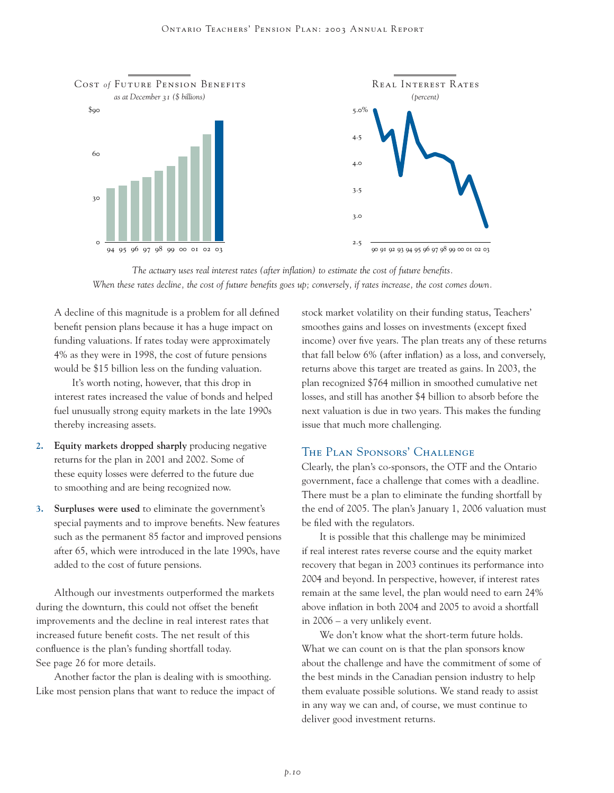

*The actuary uses real interest rates (after inflation) to estimate the cost of future benefits. When these rates decline, the cost of future benefits goes up; conversely, if rates increase, the cost comes down.*

A decline of this magnitude is a problem for all defined benefit pension plans because it has a huge impact on funding valuations. If rates today were approximately 4% as they were in 1998, the cost of future pensions would be \$15 billion less on the funding valuation.

It's worth noting, however, that this drop in interest rates increased the value of bonds and helped fuel unusually strong equity markets in the late 1990s thereby increasing assets.

- **2. Equity markets dropped sharply** producing negative returns for the plan in 2001 and 2002. Some of these equity losses were deferred to the future due to smoothing and are being recognized now.
- **3. Surpluses were used** to eliminate the government's special payments and to improve benefits. New features such as the permanent 85 factor and improved pensions after 65, which were introduced in the late 1990s, have added to the cost of future pensions.

Although our investments outperformed the markets during the downturn, this could not offset the benefit improvements and the decline in real interest rates that increased future benefit costs. The net result of this confluence is the plan's funding shortfall today. See page 26 for more details.

Another factor the plan is dealing with is smoothing. Like most pension plans that want to reduce the impact of stock market volatility on their funding status, Teachers' smoothes gains and losses on investments (except fixed income) over five years. The plan treats any of these returns that fall below 6% (after inflation) as a loss, and conversely, returns above this target are treated as gains. In 2003, the plan recognized \$764 million in smoothed cumulative net losses, and still has another \$4 billion to absorb before the next valuation is due in two years. This makes the funding issue that much more challenging.

#### The Plan Sponsors' Challenge

Clearly, the plan's co-sponsors, the OTF and the Ontario government, face a challenge that comes with a deadline. There must be a plan to eliminate the funding shortfall by the end of 2005. The plan's January 1, 2006 valuation must be filed with the regulators.

It is possible that this challenge may be minimized if real interest rates reverse course and the equity market recovery that began in 2003 continues its performance into 2004 and beyond. In perspective, however, if interest rates remain at the same level, the plan would need to earn 24% above inflation in both 2004 and 2005 to avoid a shortfall in 2006 – a very unlikely event.

We don't know what the short-term future holds. What we can count on is that the plan sponsors know about the challenge and have the commitment of some of the best minds in the Canadian pension industry to help them evaluate possible solutions. We stand ready to assist in any way we can and, of course, we must continue to deliver good investment returns.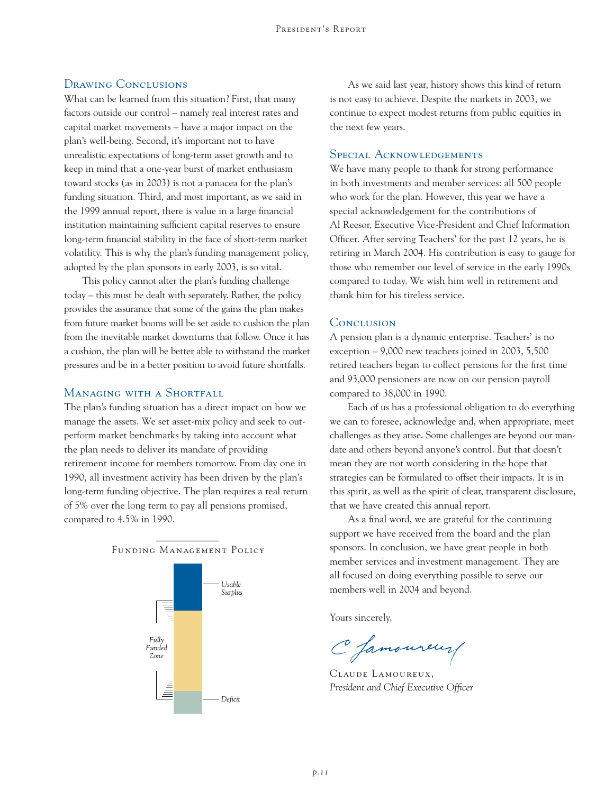#### Drawing Conclusions

What can be learned from this situation? First, that many factors outside our control – namely real interest rates and capital market movements – have a major impact on the plan's well-being. Second, it's important not to have unrealistic expectations of long-term asset growth and to keep in mind that a one-year burst of market enthusiasm toward stocks (as in 2003) is not a panacea for the plan's funding situation. Third, and most important, as we said in the 1999 annual report, there is value in a large financial institution maintaining sufficient capital reserves to ensure long-term financial stability in the face of short-term market volatility. This is why the plan's funding management policy, adopted by the plan sponsors in early 2003, is so vital.

This policy cannot alter the plan's funding challenge today – this must be dealt with separately. Rather, the policy provides the assurance that some of the gains the plan makes from future market booms will be set aside to cushion the plan from the inevitable market downturns that follow. Once it has a cushion, the plan will be better able to withstand the market pressures and be in a better position to avoid future shortfalls.

#### MANAGING WITH A SHORTFALL

The plan's funding situation has a direct impact on how we manage the assets. We set asset-mix policy and seek to outperform market benchmarks by taking into account what the plan needs to deliver its mandate of providing retirement income for members tomorrow. From day one in 1990, all investment activity has been driven by the plan's long-term funding objective. The plan requires a real return of 5% over the long term to pay all pensions promised, compared to 4.5% in 1990.



As we said last year, history shows this kind of return is not easy to achieve. Despite the markets in 2003, we continue to expect modest returns from public equities in the next few years.

#### SPECIAL ACKNOWLEDGEMENTS

We have many people to thank for strong performance in both investments and member services: all 500 people who work for the plan. However, this year we have a special acknowledgement for the contributions of Al Reesor, Executive Vice-President and Chief Information Officer. After serving Teachers' for the past 12 years, he is retiring in March 2004. His contribution is easy to gauge for those who remember our level of service in the early 1990s compared to today. We wish him well in retirement and thank him for his tireless service.

#### **CONCLUSION**

A pension plan is a dynamic enterprise. Teachers' is no exception – 9,000 new teachers joined in 2003, 5,500 retired teachers began to collect pensions for the first time and 93,000 pensioners are now on our pension payroll compared to 38,000 in 1990.

Each of us has a professional obligation to do everything we can to foresee, acknowledge and, when appropriate, meet challenges as they arise. Some challenges are beyond our mandate and others beyond anyone's control. But that doesn't mean they are not worth considering in the hope that strategies can be formulated to offset their impacts. It is in this spirit, as well as the spirit of clear, transparent disclosure, that we have created this annual report.

As a final word, we are grateful for the continuing support we have received from the board and the plan sponsors. In conclusion, we have great people in both member services and investment management. They are all focused on doing everything possible to serve our members well in 2004 and beyond.

Yours sincerely,

C Jamoureur

Claude Lamoureux, *President and Chief Executive Officer*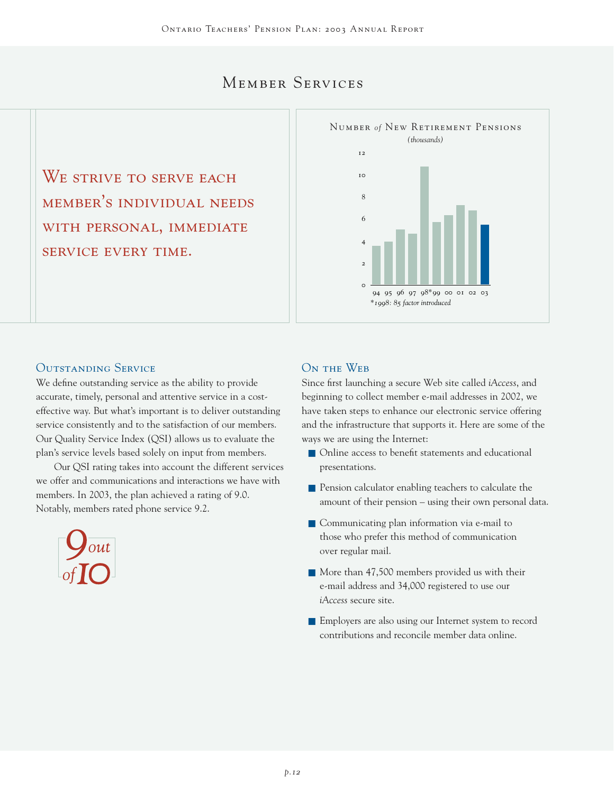# Member Services





### Outstanding Service

We define outstanding service as the ability to provide accurate, timely, personal and attentive service in a costeffective way. But what's important is to deliver outstanding service consistently and to the satisfaction of our members. Our Quality Service Index (QSI) allows us to evaluate the plan's service levels based solely on input from members.

Our QSI rating takes into account the different services we offer and communications and interactions we have with members. In 2003, the plan achieved a rating of 9.0. Notably, members rated phone service 9.2.



## $ON$  the Web

Since first launching a secure Web site called *iAccess*, and beginning to collect member e-mail addresses in 2002, we have taken steps to enhance our electronic service offering and the infrastructure that supports it. Here are some of the ways we are using the Internet:

- Online access to benefit statements and educational presentations.
- Pension calculator enabling teachers to calculate the amount of their pension – using their own personal data.
- Communicating plan information via e-mail to those who prefer this method of communication over regular mail.
- More than 47,500 members provided us with their e-mail address and 34,000 registered to use our *iAccess* secure site.
- Employers are also using our Internet system to record contributions and reconcile member data online.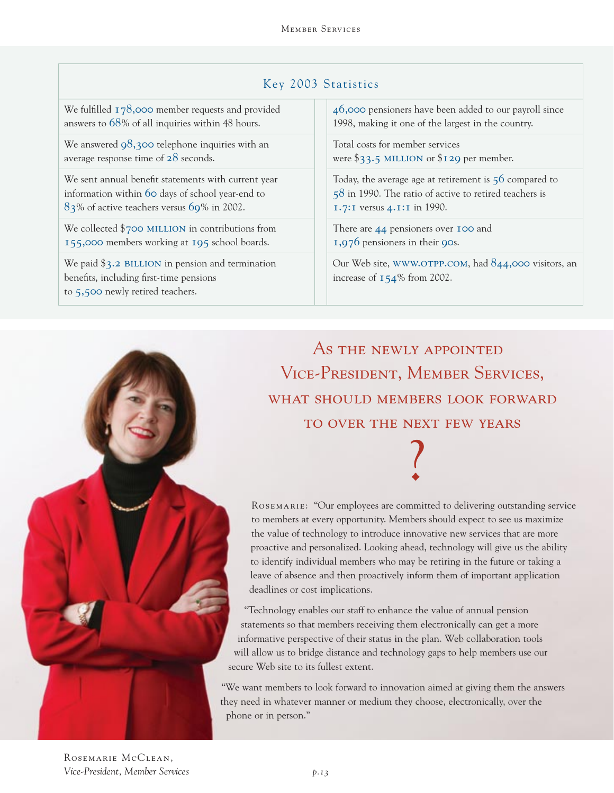## Key 2003 Statistics

We fulfilled 178,000 member requests and provided answers to 68% of all inquiries within 48 hours.

We answered  $98,300$  telephone inquiries with an average response time of 28 seconds.

We sent annual benefit statements with current year information within 60 days of school year-end to 83% of active teachers versus 69% in 2002.

We collected \$700 MILLION in contributions from 155,000 members working at 195 school boards.

We paid  $\S$ 3.2 BILLION in pension and termination benefits, including first-time pensions to 5,500 newly retired teachers.

46,000 pensioners have been added to our payroll since 1998, making it one of the largest in the country.

Total costs for member services were \$33.5 MILLION or \$129 per member.

Today, the average age at retirement is 56 compared to 58 in 1990. The ratio of active to retired teachers is 1.7:1 versus 4.1:1 in 1990.

There are 44 pensioners over 100 and 1,976 pensioners in their 90s.

Our Web site, www.OTPP.COM, had 844,000 visitors, an increase of 154% from 2002.

As the newly appointed Vice-President, Member Services, WHAT SHOULD MEMBERS LOOK FORWARD to over the next few years ?

Rosemarie: "Our employees are committed to delivering outstanding service to members at every opportunity. Members should expect to see us maximize the value of technology to introduce innovative new services that are more proactive and personalized. Looking ahead, technology will give us the ability to identify individual members who may be retiring in the future or taking a leave of absence and then proactively inform them of important application deadlines or cost implications.

"Technology enables our staff to enhance the value of annual pension statements so that members receiving them electronically can get a more informative perspective of their status in the plan. Web collaboration tools will allow us to bridge distance and technology gaps to help members use our secure Web site to its fullest extent.

"We want members to look forward to innovation aimed at giving them the answers they need in whatever manner or medium they choose, electronically, over the phone or in person."

Rosemarie McClean, *Vice-President, Member Services*

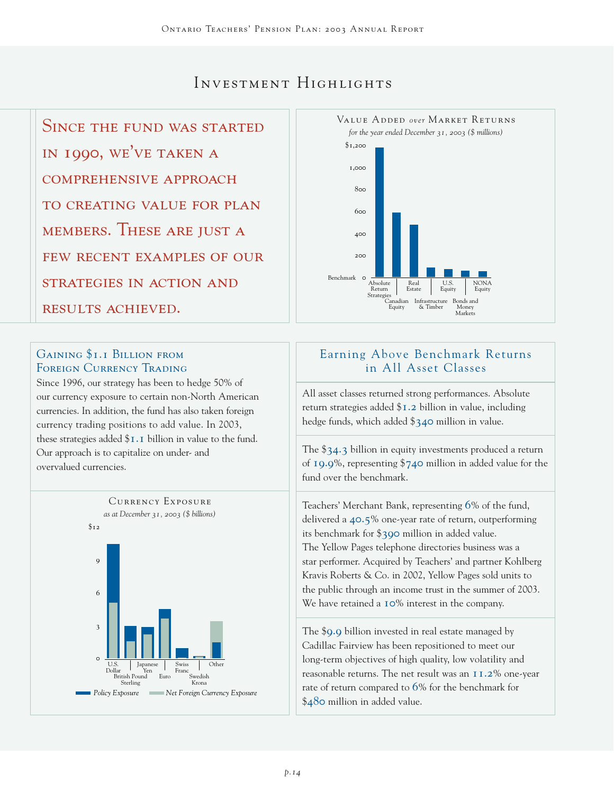# Investment Highlights

SINCE THE FUND WAS STARTED in 1990, we've taken a comprehensive approach to creating value for plan members. These are just a FEW RECENT EXAMPLES OF OUR strategies in action and results achieved.

## Gaining \$1.1 Billion from FOREIGN CURRENCY TRADING

Since 1996, our strategy has been to hedge 50% of our currency exposure to certain non-North American currencies. In addition, the fund has also taken foreign currency trading positions to add value. In 2003, these strategies added \$1.1 billion in value to the fund. Our approach is to capitalize on under- and overvalued currencies.





## Earning Above Benchmark Returns in All Asset Classes

All asset classes returned strong performances. Absolute return strategies added \$1.2 billion in value, including hedge funds, which added \$340 million in value.

The \$34.3 billion in equity investments produced a return of 19.9%, representing \$740 million in added value for the fund over the benchmark.

Teachers' Merchant Bank, representing 6% of the fund, delivered a 40.5% one-year rate of return, outperforming its benchmark for \$390 million in added value. The Yellow Pages telephone directories business was a star performer. Acquired by Teachers' and partner Kohlberg Kravis Roberts & Co. in 2002, Yellow Pages sold units to the public through an income trust in the summer of 2003. We have retained a  $10\%$  interest in the company.

The \$9.9 billion invested in real estate managed by Cadillac Fairview has been repositioned to meet our long-term objectives of high quality, low volatility and reasonable returns. The net result was an 11.2% one-year rate of return compared to 6% for the benchmark for \$480 million in added value.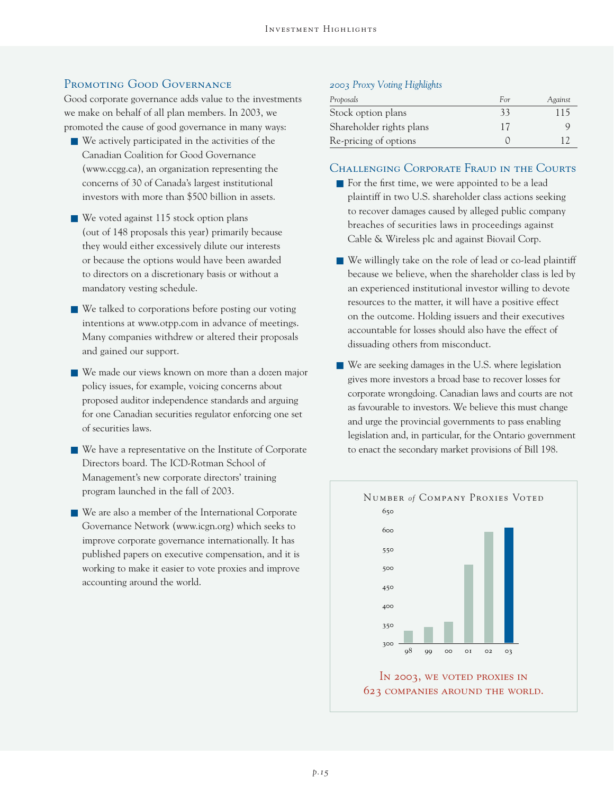#### PROMOTING GOOD GOVERNANCE

Good corporate governance adds value to the investments we make on behalf of all plan members. In 2003, we promoted the cause of good governance in many ways:

- We actively participated in the activities of the Canadian Coalition for Good Governance (www.ccgg.ca), an organization representing the concerns of 30 of Canada's largest institutional investors with more than \$500 billion in assets.
- We voted against 115 stock option plans (out of 148 proposals this year) primarily because they would either excessively dilute our interests or because the options would have been awarded to directors on a discretionary basis or without a mandatory vesting schedule.
- We talked to corporations before posting our voting intentions at www.otpp.com in advance of meetings. Many companies withdrew or altered their proposals and gained our support.
- We made our views known on more than a dozen major policy issues, for example, voicing concerns about proposed auditor independence standards and arguing for one Canadian securities regulator enforcing one set of securities laws.
- We have a representative on the Institute of Corporate Directors board. The ICD-Rotman School of Management's new corporate directors' training program launched in the fall of 2003.
- We are also a member of the International Corporate Governance Network (www.icgn.org) which seeks to improve corporate governance internationally. It has published papers on executive compensation, and it is working to make it easier to vote proxies and improve accounting around the world.

#### *2003 Proxy Voting Highlights*

| Proposals                | For | Against |
|--------------------------|-----|---------|
| Stock option plans       | 33  | 115     |
| Shareholder rights plans |     |         |
| Re-pricing of options    |     |         |

#### Challenging Corporate Fraud in the Courts

- For the first time, we were appointed to be a lead plaintiff in two U.S. shareholder class actions seeking to recover damages caused by alleged public company breaches of securities laws in proceedings against Cable & Wireless plc and against Biovail Corp.
- We willingly take on the role of lead or co-lead plaintiff because we believe, when the shareholder class is led by an experienced institutional investor willing to devote resources to the matter, it will have a positive effect on the outcome. Holding issuers and their executives accountable for losses should also have the effect of dissuading others from misconduct.
- We are seeking damages in the U.S. where legislation gives more investors a broad base to recover losses for corporate wrongdoing. Canadian laws and courts are not as favourable to investors. We believe this must change and urge the provincial governments to pass enabling legislation and, in particular, for the Ontario government to enact the secondary market provisions of Bill 198.



In 2003, we voted proxies in 623 companies around the world.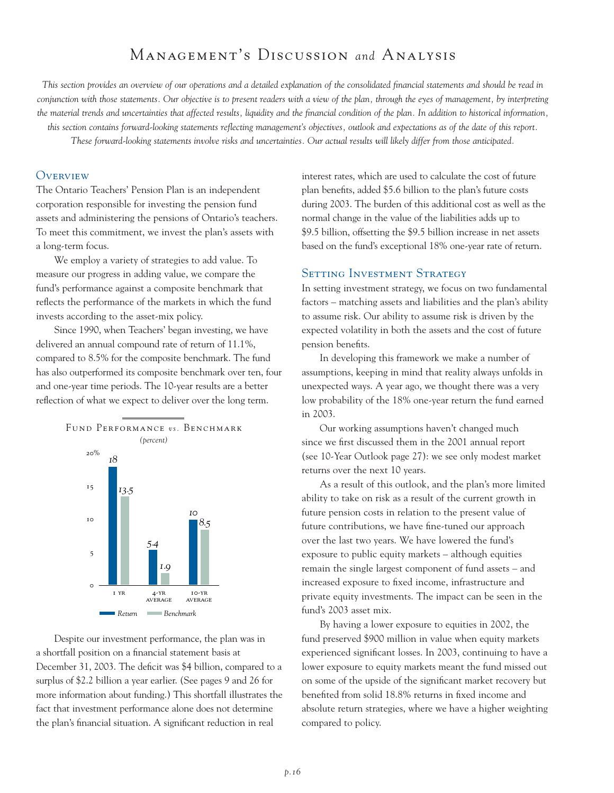# Management's Discussion *and* Analysis

*This section provides an overview of our operations and a detailed explanation of the consolidated financial statements and should be read in conjunction with those statements. Our objective is to present readers with a view of the plan, through the eyes of management, by interpreting the material trends and uncertainties that affected results, liquidity and the financial condition of the plan. In addition to historical information, this section contains forward-looking statements reflecting management's objectives, outlook and expectations as of the date of this report.*

*These forward-looking statements involve risks and uncertainties. Our actual results will likely differ from those anticipated.*

#### **OVERVIEW**

The Ontario Teachers' Pension Plan is an independent corporation responsible for investing the pension fund assets and administering the pensions of Ontario's teachers. To meet this commitment, we invest the plan's assets with a long-term focus.

We employ a variety of strategies to add value. To measure our progress in adding value, we compare the fund's performance against a composite benchmark that reflects the performance of the markets in which the fund invests according to the asset-mix policy.

Since 1990, when Teachers' began investing, we have delivered an annual compound rate of return of 11.1%, compared to 8.5% for the composite benchmark. The fund has also outperformed its composite benchmark over ten, four and one-year time periods. The 10-year results are a better reflection of what we expect to deliver over the long term.



Despite our investment performance, the plan was in a shortfall position on a financial statement basis at December 31, 2003. The deficit was \$4 billion, compared to a surplus of \$2.2 billion a year earlier. (See pages 9 and 26 for more information about funding.) This shortfall illustrates the fact that investment performance alone does not determine the plan's financial situation. A significant reduction in real

interest rates, which are used to calculate the cost of future plan benefits, added \$5.6 billion to the plan's future costs during 2003. The burden of this additional cost as well as the normal change in the value of the liabilities adds up to \$9.5 billion, offsetting the \$9.5 billion increase in net assets based on the fund's exceptional 18% one-year rate of return.

#### SETTING INVESTMENT STRATEGY

In setting investment strategy, we focus on two fundamental factors – matching assets and liabilities and the plan's ability to assume risk. Our ability to assume risk is driven by the expected volatility in both the assets and the cost of future pension benefits.

In developing this framework we make a number of assumptions, keeping in mind that reality always unfolds in unexpected ways. A year ago, we thought there was a very low probability of the 18% one-year return the fund earned in 2003.

Our working assumptions haven't changed much since we first discussed them in the 2001 annual report (see 10-Year Outlook page 27): we see only modest market returns over the next 10 years.

As a result of this outlook, and the plan's more limited ability to take on risk as a result of the current growth in future pension costs in relation to the present value of future contributions, we have fine-tuned our approach over the last two years. We have lowered the fund's exposure to public equity markets – although equities remain the single largest component of fund assets – and increased exposure to fixed income, infrastructure and private equity investments. The impact can be seen in the fund's 2003 asset mix.

By having a lower exposure to equities in 2002, the fund preserved \$900 million in value when equity markets experienced significant losses. In 2003, continuing to have a lower exposure to equity markets meant the fund missed out on some of the upside of the significant market recovery but benefited from solid 18.8% returns in fixed income and absolute return strategies, where we have a higher weighting compared to policy.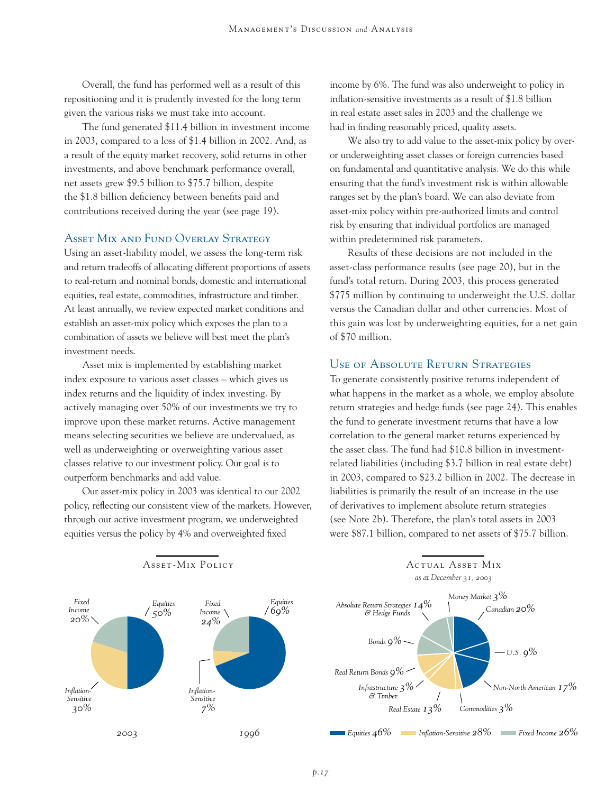Overall, the fund has performed well as a result of this repositioning and it is prudently invested for the long term given the various risks we must take into account.

The fund generated \$11.4 billion in investment income in 2003, compared to a loss of \$1.4 billion in 2002. And, as a result of the equity market recovery, solid returns in other investments, and above benchmark performance overall, net assets grew \$9.5 billion to \$75.7 billion, despite the \$1.8 billion deficiency between benefits paid and contributions received during the year (see page 19).

#### Asset Mix and Fund Overlay Strategy

Using an asset-liability model, we assess the long-term risk and return tradeoffs of allocating different proportions of assets to real-return and nominal bonds, domestic and international equities, real estate, commodities, infrastructure and timber. At least annually, we review expected market conditions and establish an asset-mix policy which exposes the plan to a combination of assets we believe will best meet the plan's investment needs.

Asset mix is implemented by establishing market index exposure to various asset classes – which gives us index returns and the liquidity of index investing. By actively managing over 50% of our investments we try to improve upon these market returns. Active management means selecting securities we believe are undervalued, as well as underweighting or overweighting various asset classes relative to our investment policy. Our goal is to outperform benchmarks and add value.

Our asset-mix policy in 2003 was identical to our 2002 policy, reflecting our consistent view of the markets. However, through our active investment program, we underweighted equities versus the policy by 4% and overweighted fixed

income by 6%. The fund was also underweight to policy in inflation-sensitive investments as a result of \$1.8 billion in real estate asset sales in 2003 and the challenge we had in finding reasonably priced, quality assets.

We also try to add value to the asset-mix policy by overor underweighting asset classes or foreign currencies based on fundamental and quantitative analysis. We do this while ensuring that the fund's investment risk is within allowable ranges set by the plan's board. We can also deviate from asset-mix policy within pre-authorized limits and control risk by ensuring that individual portfolios are managed within predetermined risk parameters.

Results of these decisions are not included in the asset-class performance results (see page 20), but in the fund's total return. During 2003, this process generated \$775 million by continuing to underweight the U.S. dollar versus the Canadian dollar and other currencies. Most of this gain was lost by underweighting equities, for a net gain of \$70 million.

#### Use of Absolute Return Strategies

To generate consistently positive returns independent of what happens in the market as a whole, we employ absolute return strategies and hedge funds (see page 24). This enables the fund to generate investment returns that have a low correlation to the general market returns experienced by the asset class. The fund had \$10.8 billion in investmentrelated liabilities (including \$3.7 billion in real estate debt) in 2003, compared to \$23.2 billion in 2002. The decrease in liabilities is primarily the result of an increase in the use of derivatives to implement absolute return strategies (see Note 2b). Therefore, the plan's total assets in 2003 were \$87.1 billion, compared to net assets of \$75.7 billion.





*p.17*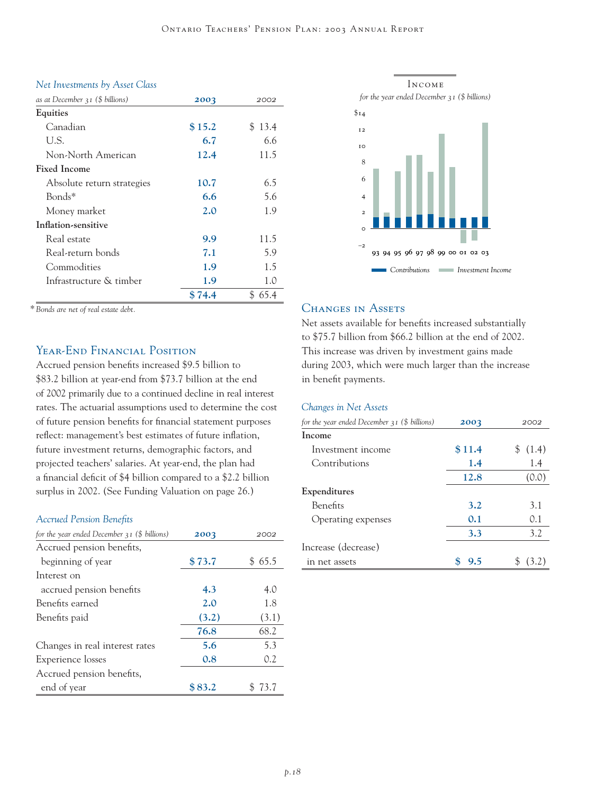#### *Net Investments by Asset Class*

| as at December 31 (\$ billions) | 2003   | 2002    |
|---------------------------------|--------|---------|
| Equities                        |        |         |
| Canadian                        | \$15.2 | \$13.4  |
| U.S.                            | 6.7    | 6.6     |
| Non-North American              | 12.4   | 11.5    |
| <b>Fixed Income</b>             |        |         |
| Absolute return strategies      | 10.7   | 6.5     |
| Bonds*                          | 6.6    | 5.6     |
| Money market                    | 2.0    | 1.9     |
| Inflation-sensitive             |        |         |
| Real estate                     | 9.9    | 11.5    |
| Real-return bonds               | 7.1    | 5.9     |
| Commodities                     | 1.9    | 1.5     |
| Infrastructure & timber         | 1.9    | 1.0     |
|                                 | \$74.4 | \$ 65.4 |

\* *Bonds are net of real estate debt.*

#### YEAR-END FINANCIAL POSITION

Accrued pension benefits increased \$9.5 billion to \$83.2 billion at year-end from \$73.7 billion at the end of 2002 primarily due to a continued decline in real interest rates. The actuarial assumptions used to determine the cost of future pension benefits for financial statement purposes reflect: management's best estimates of future inflation, future investment returns, demographic factors, and projected teachers' salaries. At year-end, the plan had a financial deficit of \$4 billion compared to a \$2.2 billion surplus in 2002. (See Funding Valuation on page 26.)

#### *Accrued Pension Benefits*

| for the year ended December $31$ (\$ billions) | 2003   | 2002   |
|------------------------------------------------|--------|--------|
| Accrued pension benefits,                      |        |        |
| beginning of year                              | \$73.7 | \$65.5 |
| Interest on                                    |        |        |
| accrued pension benefits                       | 4.3    | 4.0    |
| Benefits earned                                | 2.0    | 1.8    |
| Benefits paid                                  | (3.2)  | (3.1)  |
|                                                | 76.8   | 68.2   |
| Changes in real interest rates                 | 5.6    | 5.3    |
| Experience losses                              | 0.8    | 0.2    |
| Accrued pension benefits,                      |        |        |
| end of year                                    | \$83.2 | 73.7   |



#### CHANGES IN ASSETS

Net assets available for benefits increased substantially to \$75.7 billion from \$66.2 billion at the end of 2002. This increase was driven by investment gains made during 2003, which were much larger than the increase in benefit payments.

#### *Changes in Net Assets*

| for the year ended December $31$ (\$ billions) | 2003   | 2002    |
|------------------------------------------------|--------|---------|
| Income                                         |        |         |
| Investment income                              | \$11.4 | \$(1.4) |
| Contributions                                  | 1.4    | 1.4     |
|                                                | 12.8   | (0.0)   |
| Expenditures                                   |        |         |
| <b>Benefits</b>                                | 3.2    | 3.1     |
| Operating expenses                             | 0.1    | 0.1     |
|                                                | 3.3    | 3.2     |
| Increase (decrease)                            |        |         |
| in net assets                                  | 9.5    |         |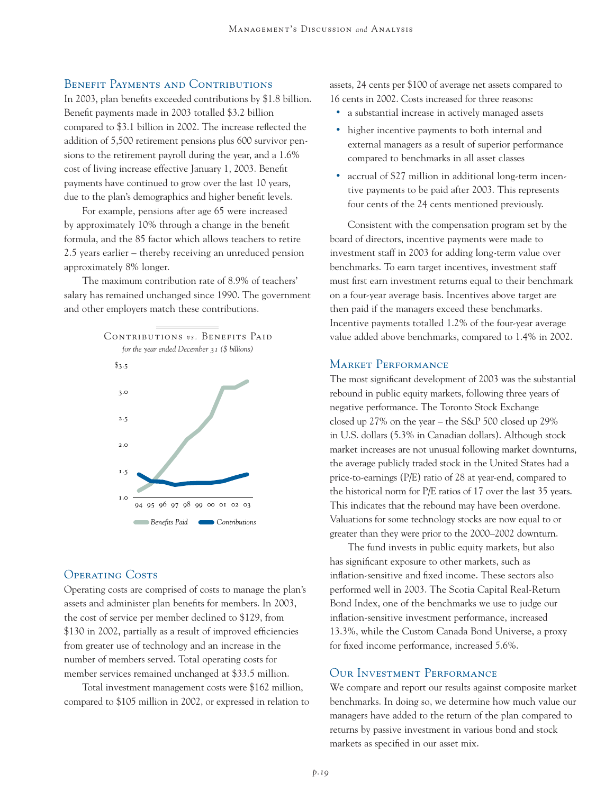#### BENEFIT PAYMENTS AND CONTRIBUTIONS

In 2003, plan benefits exceeded contributions by \$1.8 billion. Benefit payments made in 2003 totalled \$3.2 billion compared to \$3.1 billion in 2002. The increase reflected the addition of 5,500 retirement pensions plus 600 survivor pensions to the retirement payroll during the year, and a 1.6% cost of living increase effective January 1, 2003. Benefit payments have continued to grow over the last 10 years, due to the plan's demographics and higher benefit levels.

For example, pensions after age 65 were increased by approximately 10% through a change in the benefit formula, and the 85 factor which allows teachers to retire 2.5 years earlier – thereby receiving an unreduced pension approximately 8% longer.

The maximum contribution rate of 8.9% of teachers' salary has remained unchanged since 1990. The government and other employers match these contributions.



#### OPERATING COSTS

Operating costs are comprised of costs to manage the plan's assets and administer plan benefits for members. In 2003, the cost of service per member declined to \$129, from \$130 in 2002, partially as a result of improved efficiencies from greater use of technology and an increase in the number of members served. Total operating costs for member services remained unchanged at \$33.5 million.

Total investment management costs were \$162 million, compared to \$105 million in 2002, or expressed in relation to assets, 24 cents per \$100 of average net assets compared to 16 cents in 2002. Costs increased for three reasons:

- a substantial increase in actively managed assets
- higher incentive payments to both internal and external managers as a result of superior performance compared to benchmarks in all asset classes
- accrual of \$27 million in additional long-term incentive payments to be paid after 2003. This represents four cents of the 24 cents mentioned previously.

Consistent with the compensation program set by the board of directors, incentive payments were made to investment staff in 2003 for adding long-term value over benchmarks. To earn target incentives, investment staff must first earn investment returns equal to their benchmark on a four-year average basis. Incentives above target are then paid if the managers exceed these benchmarks. Incentive payments totalled 1.2% of the four-year average value added above benchmarks, compared to 1.4% in 2002.

#### Market Performance

The most significant development of 2003 was the substantial rebound in public equity markets, following three years of negative performance. The Toronto Stock Exchange closed up 27% on the year – the S&P 500 closed up 29% in U.S. dollars (5.3% in Canadian dollars). Although stock market increases are not unusual following market downturns, the average publicly traded stock in the United States had a price-to-earnings (P/E) ratio of 28 at year-end, compared to the historical norm for P/E ratios of 17 over the last 35 years. This indicates that the rebound may have been overdone. Valuations for some technology stocks are now equal to or greater than they were prior to the 2000–2002 downturn.

The fund invests in public equity markets, but also has significant exposure to other markets, such as inflation-sensitive and fixed income. These sectors also performed well in 2003. The Scotia Capital Real-Return Bond Index, one of the benchmarks we use to judge our inflation-sensitive investment performance, increased 13.3%, while the Custom Canada Bond Universe, a proxy for fixed income performance, increased 5.6%.

#### Our Investment Performance

We compare and report our results against composite market benchmarks. In doing so, we determine how much value our managers have added to the return of the plan compared to returns by passive investment in various bond and stock markets as specified in our asset mix.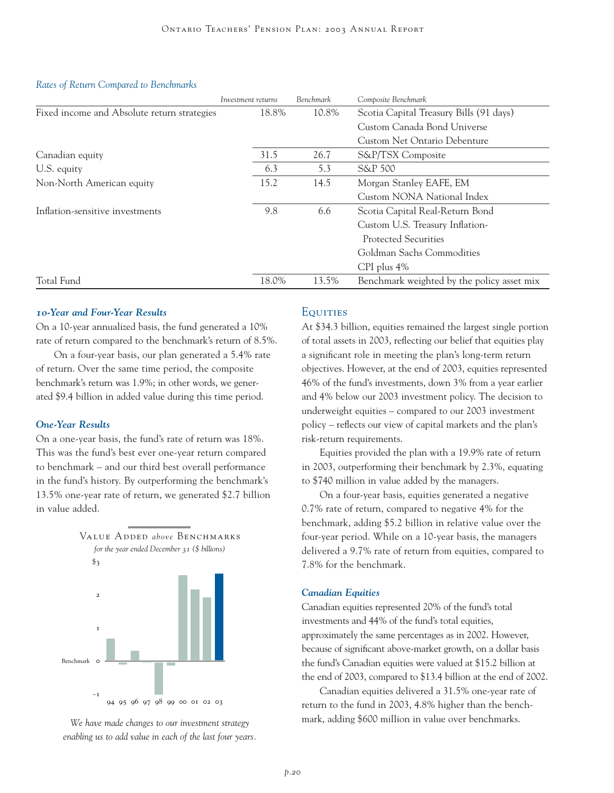#### *Rates of Return Compared to Benchmarks*

|                                             | Investment returns | <b>Benchmark</b> | Composite Benchmark                        |
|---------------------------------------------|--------------------|------------------|--------------------------------------------|
| Fixed income and Absolute return strategies | 18.8%              | 10.8%            | Scotia Capital Treasury Bills (91 days)    |
|                                             |                    |                  | Custom Canada Bond Universe                |
|                                             |                    |                  | Custom Net Ontario Debenture               |
| Canadian equity                             | 31.5               | 26.7             | S&P/TSX Composite                          |
| U.S. equity                                 | 6.3                | 5.3              | <b>S&amp;P 500</b>                         |
| Non-North American equity                   | 15.2               | 14.5             | Morgan Stanley EAFE, EM                    |
|                                             |                    |                  | Custom NONA National Index                 |
| Inflation-sensitive investments             | 9.8                | 6.6              | Scotia Capital Real-Return Bond            |
|                                             |                    |                  | Custom U.S. Treasury Inflation-            |
|                                             |                    |                  | <b>Protected Securities</b>                |
|                                             |                    |                  | Goldman Sachs Commodities                  |
|                                             |                    |                  | $CPI$ plus $4\%$                           |
| Total Fund                                  | 18.0%              | 13.5%            | Benchmark weighted by the policy asset mix |

#### *10-Year and Four-Year Results*

On a 10-year annualized basis, the fund generated a 10% rate of return compared to the benchmark's return of 8.5%.

On a four-year basis, our plan generated a 5.4% rate of return. Over the same time period, the composite benchmark's return was 1.9%; in other words, we generated \$9.4 billion in added value during this time period.

#### *One-Year Results*

On a one-year basis, the fund's rate of return was 18%. This was the fund's best ever one-year return compared to benchmark – and our third best overall performance in the fund's history. By outperforming the benchmark's 13.5% one-year rate of return, we generated \$2.7 billion in value added.



*We have made changes to our investment strategy enabling us to add value in each of the last four years.*

#### **EQUITIES**

At \$34.3 billion, equities remained the largest single portion of total assets in 2003, reflecting our belief that equities play a significant role in meeting the plan's long-term return objectives. However, at the end of 2003, equities represented 46% of the fund's investments, down 3% from a year earlier and 4% below our 2003 investment policy. The decision to underweight equities – compared to our 2003 investment policy – reflects our view of capital markets and the plan's risk-return requirements.

Equities provided the plan with a 19.9% rate of return in 2003, outperforming their benchmark by 2.3%, equating to \$740 million in value added by the managers.

On a four-year basis, equities generated a negative 0.7% rate of return, compared to negative 4% for the benchmark, adding \$5.2 billion in relative value over the four-year period. While on a 10-year basis, the managers delivered a 9.7% rate of return from equities, compared to 7.8% for the benchmark.

#### *Canadian Equities*

Canadian equities represented 20% of the fund's total investments and 44% of the fund's total equities, approximately the same percentages as in 2002. However, because of significant above-market growth, on a dollar basis the fund's Canadian equities were valued at \$15.2 billion at the end of 2003, compared to \$13.4 billion at the end of 2002.

Canadian equities delivered a 31.5% one-year rate of return to the fund in 2003, 4.8% higher than the benchmark, adding \$600 million in value over benchmarks.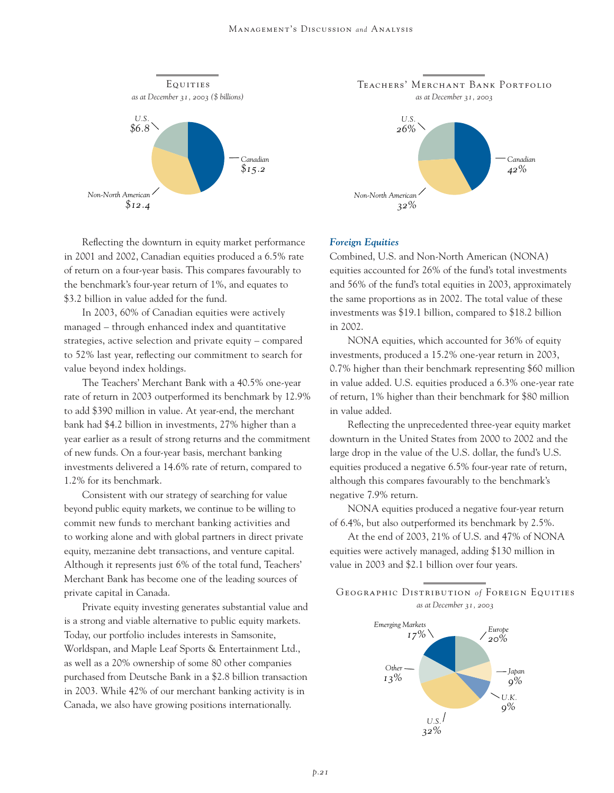



Reflecting the downturn in equity market performance in 2001 and 2002, Canadian equities produced a 6.5% rate of return on a four-year basis. This compares favourably to the benchmark's four-year return of 1%, and equates to \$3.2 billion in value added for the fund.

In 2003, 60% of Canadian equities were actively managed – through enhanced index and quantitative strategies, active selection and private equity – compared to 52% last year, reflecting our commitment to search for value beyond index holdings.

The Teachers' Merchant Bank with a 40.5% one-year rate of return in 2003 outperformed its benchmark by 12.9% to add \$390 million in value. At year-end, the merchant bank had \$4.2 billion in investments, 27% higher than a year earlier as a result of strong returns and the commitment of new funds. On a four-year basis, merchant banking investments delivered a 14.6% rate of return, compared to 1.2% for its benchmark.

Consistent with our strategy of searching for value beyond public equity markets, we continue to be willing to commit new funds to merchant banking activities and to working alone and with global partners in direct private equity, mezzanine debt transactions, and venture capital. Although it represents just 6% of the total fund, Teachers' Merchant Bank has become one of the leading sources of private capital in Canada.

Private equity investing generates substantial value and is a strong and viable alternative to public equity markets. Today, our portfolio includes interests in Samsonite, Worldspan, and Maple Leaf Sports & Entertainment Ltd., as well as a 20% ownership of some 80 other companies purchased from Deutsche Bank in a \$2.8 billion transaction in 2003. While 42% of our merchant banking activity is in Canada, we also have growing positions internationally.

#### *Foreign Equities*

*Non-North American*

*32%*

Combined, U.S. and Non-North American (NONA) equities accounted for 26% of the fund's total investments and 56% of the fund's total equities in 2003, approximately the same proportions as in 2002. The total value of these investments was \$19.1 billion, compared to \$18.2 billion in 2002.

NONA equities, which accounted for 36% of equity investments, produced a 15.2% one-year return in 2003, 0.7% higher than their benchmark representing \$60 million in value added. U.S. equities produced a 6.3% one-year rate of return, 1% higher than their benchmark for \$80 million in value added.

Reflecting the unprecedented three-year equity market downturn in the United States from 2000 to 2002 and the large drop in the value of the U.S. dollar, the fund's U.S. equities produced a negative 6.5% four-year rate of return, although this compares favourably to the benchmark's negative 7.9% return.

NONA equities produced a negative four-year return of 6.4%, but also outperformed its benchmark by 2.5%.

At the end of 2003, 21% of U.S. and 47% of NONA equities were actively managed, adding \$130 million in value in 2003 and \$2.1 billion over four years.

Geographic Distribution *of* Foreign Equities *as at December 31, 2003*

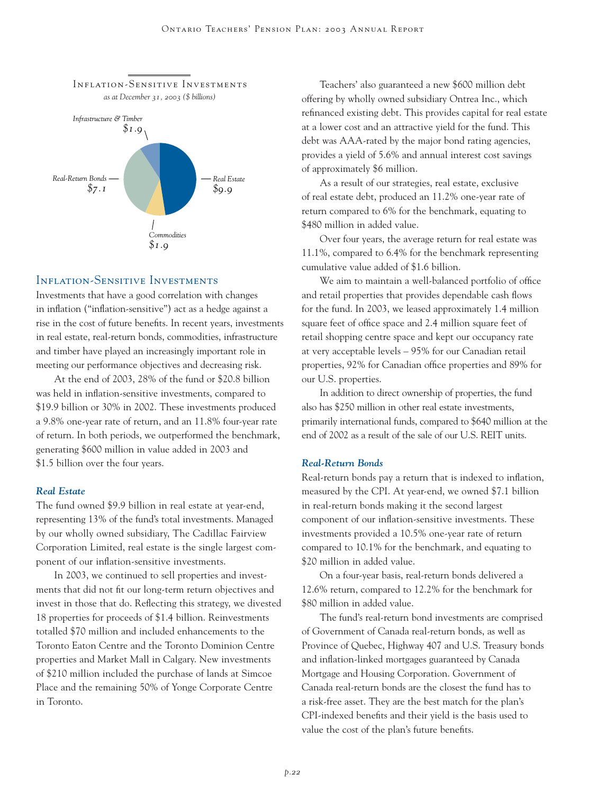

#### Inflation-Sensitive Investments

Investments that have a good correlation with changes in inflation ("inflation-sensitive") act as a hedge against a rise in the cost of future benefits. In recent years, investments in real estate, real-return bonds, commodities, infrastructure and timber have played an increasingly important role in meeting our performance objectives and decreasing risk.

At the end of 2003, 28% of the fund or \$20.8 billion was held in inflation-sensitive investments, compared to \$19.9 billion or 30% in 2002. These investments produced a 9.8% one-year rate of return, and an 11.8% four-year rate of return. In both periods, we outperformed the benchmark, generating \$600 million in value added in 2003 and \$1.5 billion over the four years.

#### *Real Estate*

The fund owned \$9.9 billion in real estate at year-end, representing 13% of the fund's total investments. Managed by our wholly owned subsidiary, The Cadillac Fairview Corporation Limited, real estate is the single largest component of our inflation-sensitive investments.

In 2003, we continued to sell properties and investments that did not fit our long-term return objectives and invest in those that do. Reflecting this strategy, we divested 18 properties for proceeds of \$1.4 billion. Reinvestments totalled \$70 million and included enhancements to the Toronto Eaton Centre and the Toronto Dominion Centre properties and Market Mall in Calgary. New investments of \$210 million included the purchase of lands at Simcoe Place and the remaining 50% of Yonge Corporate Centre in Toronto.

Teachers' also guaranteed a new \$600 million debt offering by wholly owned subsidiary Ontrea Inc., which refinanced existing debt. This provides capital for real estate at a lower cost and an attractive yield for the fund. This debt was AAA-rated by the major bond rating agencies, provides a yield of 5.6% and annual interest cost savings of approximately \$6 million.

As a result of our strategies, real estate, exclusive of real estate debt, produced an 11.2% one-year rate of return compared to 6% for the benchmark, equating to \$480 million in added value.

Over four years, the average return for real estate was 11.1%, compared to 6.4% for the benchmark representing cumulative value added of \$1.6 billion.

We aim to maintain a well-balanced portfolio of office and retail properties that provides dependable cash flows for the fund. In 2003, we leased approximately 1.4 million square feet of office space and 2.4 million square feet of retail shopping centre space and kept our occupancy rate at very acceptable levels – 95% for our Canadian retail properties, 92% for Canadian office properties and 89% for our U.S. properties.

In addition to direct ownership of properties, the fund also has \$250 million in other real estate investments, primarily international funds, compared to \$640 million at the end of 2002 as a result of the sale of our U.S. REIT units.

#### *Real-Return Bonds*

Real-return bonds pay a return that is indexed to inflation, measured by the CPI. At year-end, we owned \$7.1 billion in real-return bonds making it the second largest component of our inflation-sensitive investments. These investments provided a 10.5% one-year rate of return compared to 10.1% for the benchmark, and equating to \$20 million in added value.

On a four-year basis, real-return bonds delivered a 12.6% return, compared to 12.2% for the benchmark for \$80 million in added value.

The fund's real-return bond investments are comprised of Government of Canada real-return bonds, as well as Province of Quebec, Highway 407 and U.S. Treasury bonds and inflation-linked mortgages guaranteed by Canada Mortgage and Housing Corporation. Government of Canada real-return bonds are the closest the fund has to a risk-free asset. They are the best match for the plan's CPI-indexed benefits and their yield is the basis used to value the cost of the plan's future benefits.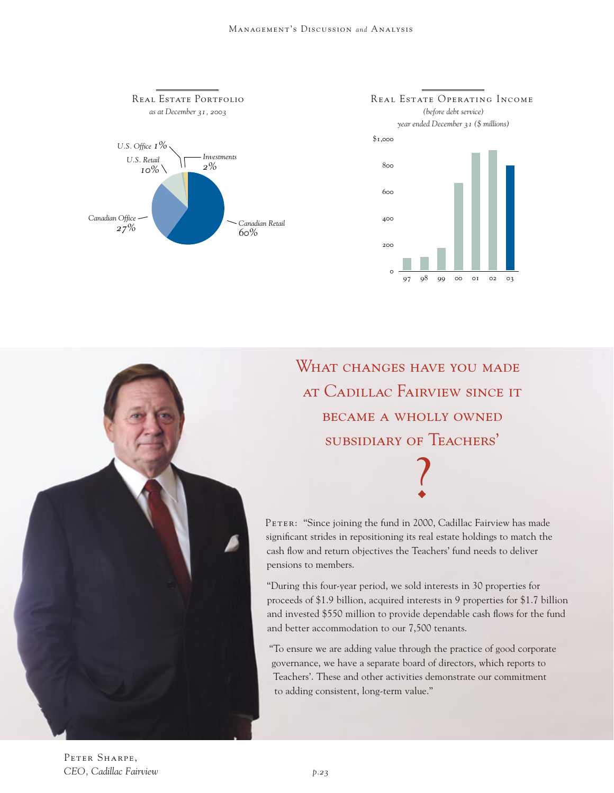



WHAT CHANGES HAVE YOU MADE at Cadillac Fairview since it became a wholly owned subsidiary of Teachers' ?

PETER: "Since joining the fund in 2000, Cadillac Fairview has made significant strides in repositioning its real estate holdings to match the cash flow and return objectives the Teachers' fund needs to deliver pensions to members.

"During this four-year period, we sold interests in 30 properties for proceeds of \$1.9 billion, acquired interests in 9 properties for \$1.7 billion and invested \$550 million to provide dependable cash flows for the fund and better accommodation to our 7,500 tenants.

"To ensure we are adding value through the practice of good corporate governance, we have a separate board of directors, which reports to Teachers'. These and other activities demonstrate our commitment to adding consistent, long-term value."

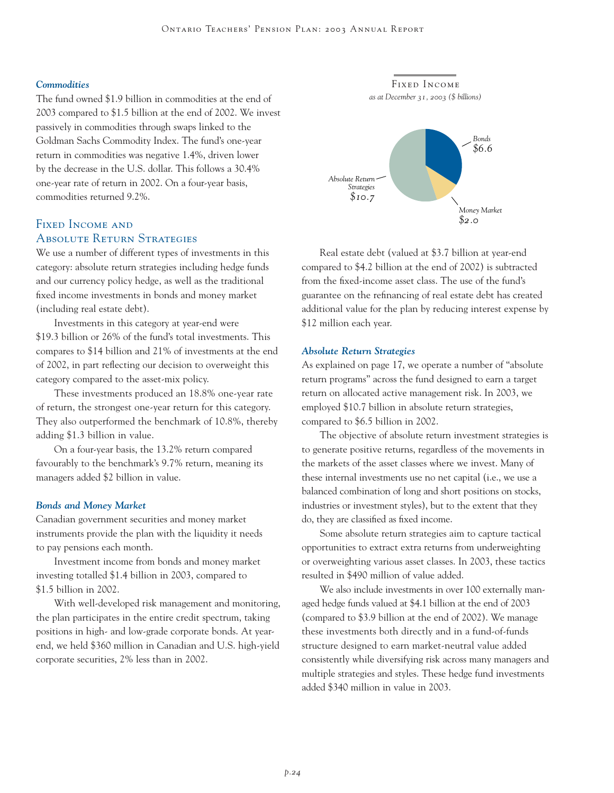#### *Commodities*

The fund owned \$1.9 billion in commodities at the end of 2003 compared to \$1.5 billion at the end of 2002. We invest passively in commodities through swaps linked to the Goldman Sachs Commodity Index. The fund's one-year return in commodities was negative 1.4%, driven lower by the decrease in the U.S. dollar. This follows a 30.4% one-year rate of return in 2002. On a four-year basis, commodities returned 9.2%.

## Fixed Income and Absolute Return Strategies

We use a number of different types of investments in this category: absolute return strategies including hedge funds and our currency policy hedge, as well as the traditional fixed income investments in bonds and money market (including real estate debt).

Investments in this category at year-end were \$19.3 billion or 26% of the fund's total investments. This compares to \$14 billion and 21% of investments at the end of 2002, in part reflecting our decision to overweight this category compared to the asset-mix policy.

These investments produced an 18.8% one-year rate of return, the strongest one-year return for this category. They also outperformed the benchmark of 10.8%, thereby adding \$1.3 billion in value.

On a four-year basis, the 13.2% return compared favourably to the benchmark's 9.7% return, meaning its managers added \$2 billion in value.

#### *Bonds and Money Market*

Canadian government securities and money market instruments provide the plan with the liquidity it needs to pay pensions each month.

Investment income from bonds and money market investing totalled \$1.4 billion in 2003, compared to \$1.5 billion in 2002.

With well-developed risk management and monitoring, the plan participates in the entire credit spectrum, taking positions in high- and low-grade corporate bonds. At yearend, we held \$360 million in Canadian and U.S. high-yield corporate securities, 2% less than in 2002.



Real estate debt (valued at \$3.7 billion at year-end compared to \$4.2 billion at the end of 2002) is subtracted from the fixed-income asset class. The use of the fund's guarantee on the refinancing of real estate debt has created additional value for the plan by reducing interest expense by \$12 million each year.

#### *Absolute Return Strategies*

As explained on page 17, we operate a number of "absolute return programs" across the fund designed to earn a target return on allocated active management risk. In 2003, we employed \$10.7 billion in absolute return strategies, compared to \$6.5 billion in 2002.

The objective of absolute return investment strategies is to generate positive returns, regardless of the movements in the markets of the asset classes where we invest. Many of these internal investments use no net capital (i.e., we use a balanced combination of long and short positions on stocks, industries or investment styles), but to the extent that they do, they are classified as fixed income.

Some absolute return strategies aim to capture tactical opportunities to extract extra returns from underweighting or overweighting various asset classes. In 2003, these tactics resulted in \$490 million of value added.

We also include investments in over 100 externally managed hedge funds valued at \$4.1 billion at the end of 2003 (compared to \$3.9 billion at the end of 2002). We manage these investments both directly and in a fund-of-funds structure designed to earn market-neutral value added consistently while diversifying risk across many managers and multiple strategies and styles. These hedge fund investments added \$340 million in value in 2003.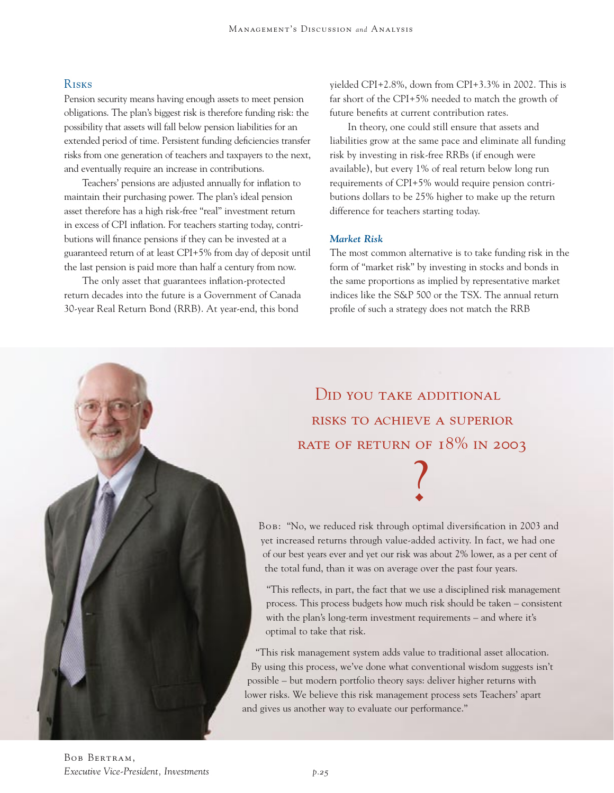#### Risks

Pension security means having enough assets to meet pension obligations. The plan's biggest risk is therefore funding risk: the possibility that assets will fall below pension liabilities for an extended period of time. Persistent funding deficiencies transfer risks from one generation of teachers and taxpayers to the next, and eventually require an increase in contributions.

Teachers' pensions are adjusted annually for inflation to maintain their purchasing power. The plan's ideal pension asset therefore has a high risk-free "real" investment return in excess of CPI inflation. For teachers starting today, contributions will finance pensions if they can be invested at a guaranteed return of at least CPI+5% from day of deposit until the last pension is paid more than half a century from now.

The only asset that guarantees inflation-protected return decades into the future is a Government of Canada 30-year Real Return Bond (RRB). At year-end, this bond

yielded CPI+2.8%, down from CPI+3.3% in 2002. This is far short of the CPI+5% needed to match the growth of future benefits at current contribution rates.

In theory, one could still ensure that assets and liabilities grow at the same pace and eliminate all funding risk by investing in risk-free RRBs (if enough were available), but every 1% of real return below long run requirements of CPI+5% would require pension contributions dollars to be 25% higher to make up the return difference for teachers starting today.

#### *Market Risk*

The most common alternative is to take funding risk in the form of "market risk" by investing in stocks and bonds in the same proportions as implied by representative market indices like the S&P 500 or the TSX. The annual return profile of such a strategy does not match the RRB

# Did you take additional risks to achieve a superior rate of return of 18% in 2003 ?

Bob: "No, we reduced risk through optimal diversification in 2003 and yet increased returns through value-added activity. In fact, we had one of our best years ever and yet our risk was about 2% lower, as a per cent of the total fund, than it was on average over the past four years.

"This reflects, in part, the fact that we use a disciplined risk management process. This process budgets how much risk should be taken – consistent with the plan's long-term investment requirements – and where it's optimal to take that risk.

"This risk management system adds value to traditional asset allocation. By using this process, we've done what conventional wisdom suggests isn't possible – but modern portfolio theory says: deliver higher returns with lower risks. We believe this risk management process sets Teachers' apart and gives us another way to evaluate our performance."

Bob Bertram, *Executive Vice-President, Investments*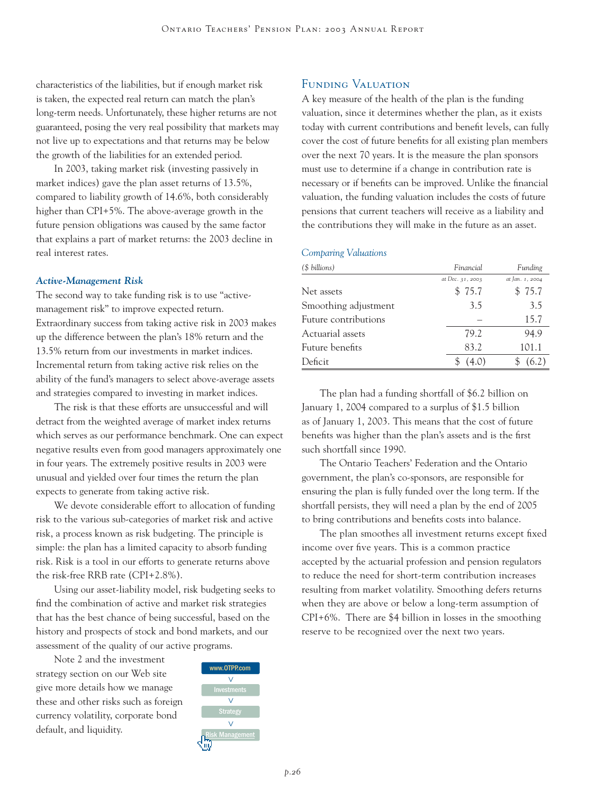characteristics of the liabilities, but if enough market risk is taken, the expected real return can match the plan's long-term needs. Unfortunately, these higher returns are not guaranteed, posing the very real possibility that markets may not live up to expectations and that returns may be below the growth of the liabilities for an extended period.

In 2003, taking market risk (investing passively in market indices) gave the plan asset returns of 13.5%, compared to liability growth of 14.6%, both considerably higher than CPI+5%. The above-average growth in the future pension obligations was caused by the same factor that explains a part of market returns: the 2003 decline in real interest rates.

#### *Active-Management Risk*

The second way to take funding risk is to use "activemanagement risk" to improve expected return. Extraordinary success from taking active risk in 2003 makes up the difference between the plan's 18% return and the 13.5% return from our investments in market indices. Incremental return from taking active risk relies on the ability of the fund's managers to select above-average assets and strategies compared to investing in market indices.

The risk is that these efforts are unsuccessful and will detract from the weighted average of market index returns which serves as our performance benchmark. One can expect negative results even from good managers approximately one in four years. The extremely positive results in 2003 were unusual and yielded over four times the return the plan expects to generate from taking active risk.

We devote considerable effort to allocation of funding risk to the various sub-categories of market risk and active risk, a process known as risk budgeting. The principle is simple: the plan has a limited capacity to absorb funding risk. Risk is a tool in our efforts to generate returns above the risk-free RRB rate (CPI+2.8%).

Using our asset-liability model, risk budgeting seeks to find the combination of active and market risk strategies that has the best chance of being successful, based on the history and prospects of stock and bond markets, and our assessment of the quality of our active programs.

Note 2 and the investment strategy section on our Web site give more details how we manage these and other risks such as foreign currency volatility, corporate bond default, and liquidity.



#### Funding Valuation

A key measure of the health of the plan is the funding valuation, since it determines whether the plan, as it exists today with current contributions and benefit levels, can fully cover the cost of future benefits for all existing plan members over the next 70 years. It is the measure the plan sponsors must use to determine if a change in contribution rate is necessary or if benefits can be improved. Unlike the financial valuation, the funding valuation includes the costs of future pensions that current teachers will receive as a liability and the contributions they will make in the future as an asset.

#### *Comparing Valuations*

| (\$ billions)        | Financial        | Funding         |
|----------------------|------------------|-----------------|
|                      | at Dec. 31, 2003 | at Jan. 1, 2004 |
| Net assets           | \$75.7           | \$75.7          |
| Smoothing adjustment | 3.5              | 3.5             |
| Future contributions |                  | 15.7            |
| Actuarial assets     | 79.2             | 94.9            |
| Future benefits      | 83.2             | 101.1           |
| Deficit              | (4.0)            | (6.2)           |

The plan had a funding shortfall of \$6.2 billion on January 1, 2004 compared to a surplus of \$1.5 billion as of January 1, 2003. This means that the cost of future benefits was higher than the plan's assets and is the first such shortfall since 1990.

The Ontario Teachers' Federation and the Ontario government, the plan's co-sponsors, are responsible for ensuring the plan is fully funded over the long term. If the shortfall persists, they will need a plan by the end of 2005 to bring contributions and benefits costs into balance.

The plan smoothes all investment returns except fixed income over five years. This is a common practice accepted by the actuarial profession and pension regulators to reduce the need for short-term contribution increases resulting from market volatility. Smoothing defers returns when they are above or below a long-term assumption of CPI+6%. There are \$4 billion in losses in the smoothing reserve to be recognized over the next two years.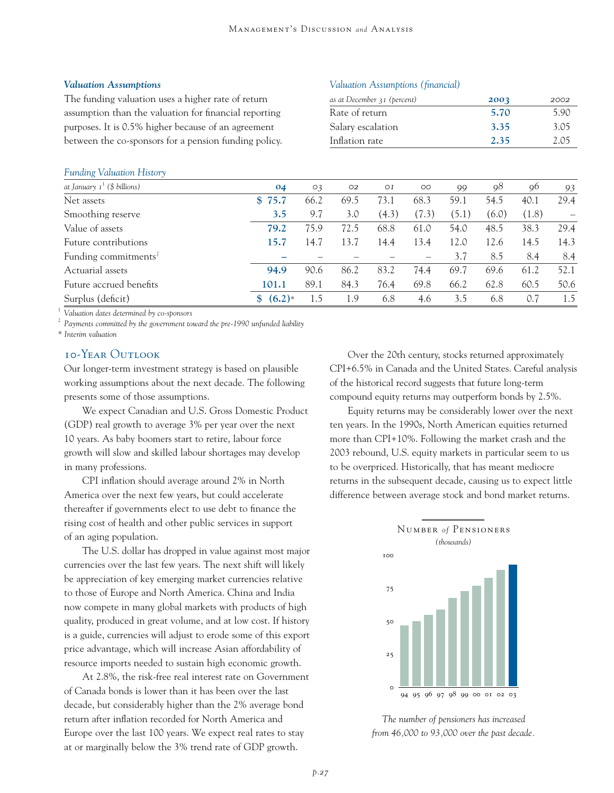#### *Valuation Assumptions*

The funding valuation uses a higher rate of return assumption than the valuation for financial reporting purposes. It is 0.5% higher because of an agreement between the co-sponsors for a pension funding policy.

#### *Valuation Assumptions (financial)*

| as at December 31 (percent) | 2003 | 2002 |
|-----------------------------|------|------|
| Rate of return              | 5.70 | 5.90 |
| Salary escalation           | 3.35 | 3.05 |
| Inflation rate              | 2.35 | 2.05 |

#### *Funding Valuation History*

| at January $I^{\perp}$ (\$ billions) | 04                   | O <sub>3</sub> | O2   | O <sub>I</sub> | OO    | 99    | 98    | 96    | 93   |
|--------------------------------------|----------------------|----------------|------|----------------|-------|-------|-------|-------|------|
| Net assets                           | 75.7<br><sup>S</sup> | 66.2           | 69.5 | 73.1           | 68.3  | 59.1  | 54.5  | 40.1  | 29.4 |
| Smoothing reserve                    | 3.5                  | 9.7            | 3.0  | (4.3)          | (7.3) | (5.1) | (6.0) | (1.8) |      |
| Value of assets                      | 79.2                 | 75.9           | 72.5 | 68.8           | 61.0  | 54.0  | 48.5  | 38.3  | 29.4 |
| Future contributions                 | 15.7                 | 14.7           | 13.7 | 14.4           | 13.4  | 12.0  | 12.6  | 14.5  | 14.3 |
| Funding commitments <sup>2</sup>     |                      |                |      |                |       | 3.7   | 8.5   | 8.4   | 8.4  |
| Actuarial assets                     | 94.9                 | 90.6           | 86.2 | 83.2           | 74.4  | 69.7  | 69.6  | 61.2  | 52.1 |
| Future accrued benefits              | 101.1                | 89.1           | 84.3 | 76.4           | 69.8  | 66.2  | 62.8  | 60.5  | 50.6 |
| Surplus (deficit)                    | $(6.2)$ *<br>\$      | 1.5            | 1.9  | 6.8            | 4.6   | 3.5   | 6.8   | 0.7   | 1.5  |

<sup>1</sup> *Valuation dates determined by co-sponsors*

<sup>2</sup> *Payments committed by the government toward the pre-1990 unfunded liability*

*\* Interim valuation*

## 10-Year Outlook

Our longer-term investment strategy is based on plausible working assumptions about the next decade. The following presents some of those assumptions.

We expect Canadian and U.S. Gross Domestic Product (GDP) real growth to average 3% per year over the next 10 years. As baby boomers start to retire, labour force growth will slow and skilled labour shortages may develop in many professions.

CPI inflation should average around 2% in North America over the next few years, but could accelerate thereafter if governments elect to use debt to finance the rising cost of health and other public services in support of an aging population.

The U.S. dollar has dropped in value against most major currencies over the last few years. The next shift will likely be appreciation of key emerging market currencies relative to those of Europe and North America. China and India now compete in many global markets with products of high quality, produced in great volume, and at low cost. If history is a guide, currencies will adjust to erode some of this export price advantage, which will increase Asian affordability of resource imports needed to sustain high economic growth.

At 2.8%, the risk-free real interest rate on Government of Canada bonds is lower than it has been over the last decade, but considerably higher than the 2% average bond return after inflation recorded for North America and Europe over the last 100 years. We expect real rates to stay at or marginally below the 3% trend rate of GDP growth.

Over the 20th century, stocks returned approximately CPI+6.5% in Canada and the United States. Careful analysis of the historical record suggests that future long-term compound equity returns may outperform bonds by 2.5%.

Equity returns may be considerably lower over the next ten years. In the 1990s, North American equities returned more than CPI+10%. Following the market crash and the 2003 rebound, U.S. equity markets in particular seem to us to be overpriced. Historically, that has meant mediocre returns in the subsequent decade, causing us to expect little difference between average stock and bond market returns.



*The number of pensioners has increased from 46,000 to 93,000 over the past decade.*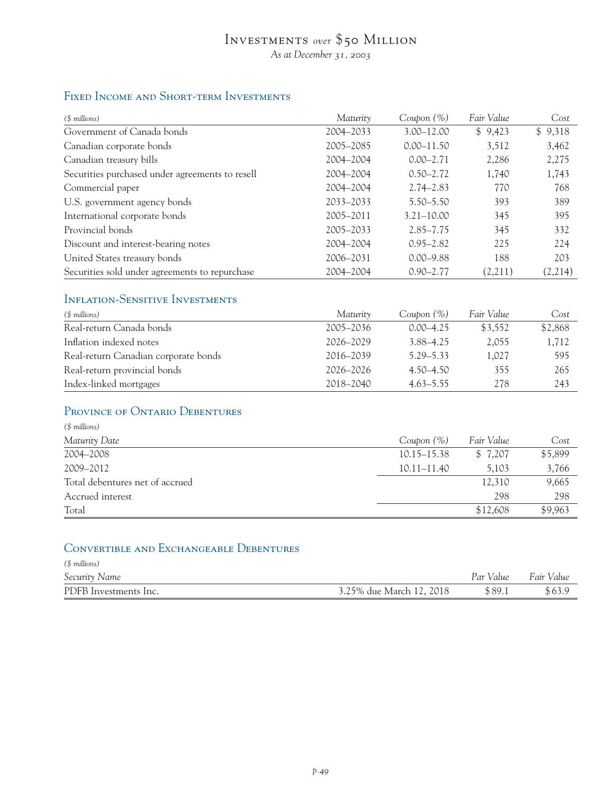# Investments *over* \$50 Million

*As at December 31, 2003*

## FIXED INCOME AND SHORT-TERM INVESTMENTS

| $($$ millions)                                  | Maturity  | Coupon $(\%)$  | Fair Value | Cost    |
|-------------------------------------------------|-----------|----------------|------------|---------|
| Government of Canada bonds                      | 2004-2033 | 3.00-12.00     | \$9,423    | \$9,318 |
| Canadian corporate bonds                        | 2005-2085 | $0.00 - 11.50$ | 3,512      | 3,462   |
| Canadian treasury bills                         | 2004-2004 | $0.00 - 2.71$  | 2,286      | 2,275   |
| Securities purchased under agreements to resell | 2004-2004 | $0.50 - 2.72$  | 1,740      | 1,743   |
| Commercial paper                                | 2004-2004 | $2.74 - 2.83$  | 770        | 768     |
| U.S. government agency bonds                    | 2033-2033 | $5.50 - 5.50$  | 393        | 389     |
| International corporate bonds                   | 2005-2011 | $3.21 - 10.00$ | 345        | 395     |
| Provincial bonds                                | 2005-2033 | $2.85 - 7.75$  | 345        | 332     |
| Discount and interest-bearing notes             | 2004-2004 | $0.95 - 2.82$  | 225        | 224     |
| United States treasury bonds                    | 2006-2031 | $0.00 - 9.88$  | 188        | 203     |
| Securities sold under agreements to repurchase  | 2004-2004 | $0.90 - 2.77$  | (2,211)    | (2,214) |

## Inflation-Sensitive Investments

| (\$ millions)                        | Maturity  | Coupon $(\%)$ | Fair Value | Cost    |
|--------------------------------------|-----------|---------------|------------|---------|
| Real-return Canada bonds             | 2005–2036 | $0.00 - 4.25$ | \$3,552    | \$2,868 |
| Inflation indexed notes              | 2026-2029 | $3.88 - 4.25$ | 2.055      | 1,712   |
| Real-return Canadian corporate bonds | 2016-2039 | $5.29 - 5.33$ | 1,027      | 595     |
| Real-return provincial bonds         | 2026-2026 | $4.50 - 4.50$ | 355        | 265     |
| Index-linked mortgages               | 2018-2040 | $4.63 - 5.55$ | 278        | 243     |

## PROVINCE OF ONTARIO DEBENTURES

| $($$ millions)                  |                 |            |         |
|---------------------------------|-----------------|------------|---------|
| Maturity Date                   | Coupon $(\%)$   | Fair Value | Cost    |
| 2004-2008                       | $10.15 - 15.38$ | \$7,207    | \$5,899 |
| 2009-2012                       | $10.11 - 11.40$ | 5,103      | 3,766   |
| Total debentures net of accrued |                 | 12,310     | 9,665   |
| Accrued interest                |                 | 298        | 298     |
| Total                           |                 | \$12,608   | \$9,963 |

## Convertible and Exchangeable Debentures

| (\$ millions)         |                          |           |            |
|-----------------------|--------------------------|-----------|------------|
| Security Name         |                          | Par Value | Fair Value |
| PDFB Investments Inc. | 3.25% due March 12, 2018 | \$89.1    | \$63.9     |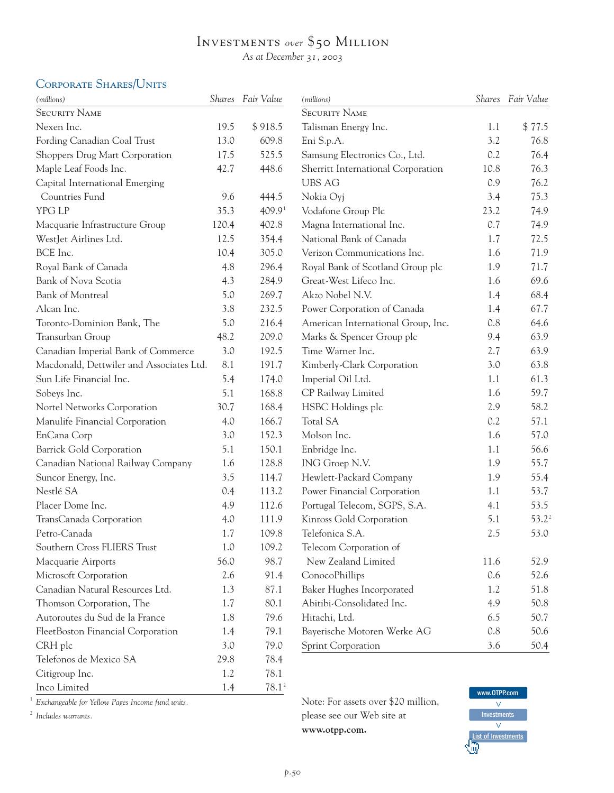# Investments *over* \$50 Million

*As at December 31, 2003*

## Corporate Shares/Units

| (millions)                               |       | Shares Fair Value  | (millions)                         |      | Shares Fair Value |
|------------------------------------------|-------|--------------------|------------------------------------|------|-------------------|
| <b>SECURITY NAME</b>                     |       |                    | <b>SECURITY NAME</b>               |      |                   |
| Nexen Inc.                               | 19.5  | \$918.5            | Talisman Energy Inc.               | 1.1  | \$77.5            |
| Fording Canadian Coal Trust              | 13.0  | 609.8              | Eni S.p.A.                         | 3.2  | 76.8              |
| Shoppers Drug Mart Corporation           | 17.5  | 525.5              | Samsung Electronics Co., Ltd.      | 0.2  | 76.4              |
| Maple Leaf Foods Inc.                    | 42.7  | 448.6              | Sherritt International Corporation | 10.8 | 76.3              |
| Capital International Emerging           |       |                    | <b>UBS AG</b>                      | 0.9  | 76.2              |
| Countries Fund                           | 9.6   | 444.5              | Nokia Oyj                          | 3.4  | 75.3              |
| YPG LP                                   | 35.3  | 409.9 <sup>1</sup> | Vodafone Group Plc                 | 23.2 | 74.9              |
| Macquarie Infrastructure Group           | 120.4 | 402.8              | Magna International Inc.           | 0.7  | 74.9              |
| WestJet Airlines Ltd.                    | 12.5  | 354.4              | National Bank of Canada            | 1.7  | 72.5              |
| BCE Inc.                                 | 10.4  | 305.0              | Verizon Communications Inc.        | 1.6  | 71.9              |
| Royal Bank of Canada                     | 4.8   | 296.4              | Royal Bank of Scotland Group plc   | 1.9  | 71.7              |
| <b>Bank of Nova Scotia</b>               | 4.3   | 284.9              | Great-West Lifeco Inc.             | 1.6  | 69.6              |
| Bank of Montreal                         | 5.0   | 269.7              | Akzo Nobel N.V.                    | 1.4  | 68.4              |
| Alcan Inc.                               | 3.8   | 232.5              | Power Corporation of Canada        | 1.4  | 67.7              |
| Toronto-Dominion Bank, The               | 5.0   | 216.4              | American International Group, Inc. | 0.8  | 64.6              |
| Transurban Group                         | 48.2  | 209.0              | Marks & Spencer Group plc          | 9.4  | 63.9              |
| Canadian Imperial Bank of Commerce       | 3.0   | 192.5              | Time Warner Inc.                   | 2.7  | 63.9              |
| Macdonald, Dettwiler and Associates Ltd. | 8.1   | 191.7              | Kimberly-Clark Corporation         | 3.0  | 63.8              |
| Sun Life Financial Inc.                  | 5.4   | 174.0              | Imperial Oil Ltd.                  | 1.1  | 61.3              |
| Sobeys Inc.                              | 5.1   | 168.8              | CP Railway Limited                 | 1.6  | 59.7              |
| Nortel Networks Corporation              | 30.7  | 168.4              | HSBC Holdings plc                  | 2.9  | 58.2              |
| Manulife Financial Corporation           | 4.0   | 166.7              | <b>Total SA</b>                    | 0.2  | 57.1              |
| EnCana Corp                              | 3.0   | 152.3              | Molson Inc.                        | 1.6  | 57.0              |
| <b>Barrick Gold Corporation</b>          | 5.1   | 150.1              | Enbridge Inc.                      | 1.1  | 56.6              |
| Canadian National Railway Company        | 1.6   | 128.8              | ING Groep N.V.                     | 1.9  | 55.7              |
| Suncor Energy, Inc.                      | 3.5   | 114.7              | Hewlett-Packard Company            | 1.9  | 55.4              |
| Nestlé SA                                | 0.4   | 113.2              | Power Financial Corporation        | 1.1  | 53.7              |
| Placer Dome Inc.                         | 4.9   | 112.6              | Portugal Telecom, SGPS, S.A.       | 4.1  | 53.5              |
| TransCanada Corporation                  | 4.0   | 111.9              | Kinross Gold Corporation           | 5.1  | $53.2^{\circ}$    |
| Petro-Canada                             | 1.7   | 109.8              | Telefonica S.A.                    | 2.5  | 53.0              |
| Southern Cross FLIERS Trust              | 1.0   | 109.2              | Telecom Corporation of             |      |                   |
| Macquarie Airports                       | 56.0  | 98.7               | New Zealand Limited                | 11.6 | 52.9              |
| Microsoft Corporation                    | 2.6   | 91.4               | ConocoPhillips                     | 0.6  | 52.6              |
| Canadian Natural Resources Ltd.          | 1.3   | 87.1               | Baker Hughes Incorporated          | 1.2  | 51.8              |
| Thomson Corporation, The                 | 1.7   | 80.1               | Abitibi-Consolidated Inc.          | 4.9  | 50.8              |
| Autoroutes du Sud de la France           | 1.8   | 79.6               | Hitachi, Ltd.                      | 6.5  | 50.7              |
| FleetBoston Financial Corporation        | 1.4   | 79.1               | Bayerische Motoren Werke AG        | 0.8  | 50.6              |
| CRH plc                                  | 3.0   | 79.0               | <b>Sprint Corporation</b>          | 3.6  | 50.4              |
| Telefonos de Mexico SA                   | 29.8  | 78.4               |                                    |      |                   |
| Citigroup Inc.                           | 1.2   | 78.1               |                                    |      |                   |

<sup>1</sup> *Exchangeable for Yellow Pages Income fund units.*

Inco Limited 1.4 78.1<sup>2</sup>

<sup>2</sup> *Includes warrants.*

Note: For assets over \$20 million, please see our Web site at **www.otpp.com.**

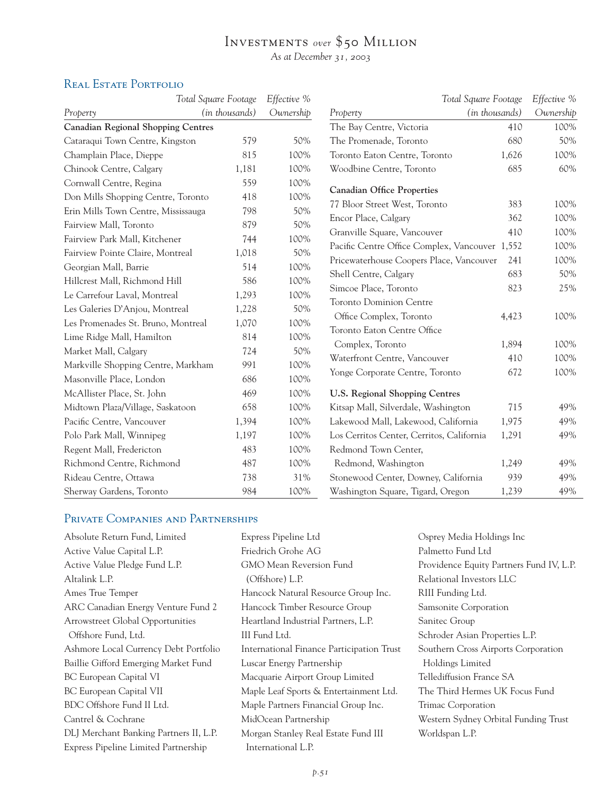## Investments *over* \$50 Million

*As at December 31, 2003*

### Real Estate Portfolio

|                                           | Total Square Footage | Effective % |
|-------------------------------------------|----------------------|-------------|
| Property                                  | (in thousands)       | Ownership   |
| <b>Canadian Regional Shopping Centres</b> |                      |             |
| Cataraqui Town Centre, Kingston           | 579                  | 50%         |
| Champlain Place, Dieppe                   | 815                  | 100%        |
| Chinook Centre, Calgary                   | 1,181                | 100%        |
| Cornwall Centre, Regina                   | 559                  | 100%        |
| Don Mills Shopping Centre, Toronto        | 418                  | 100%        |
| Erin Mills Town Centre, Mississauga       | 798                  | 50%         |
| Fairview Mall, Toronto                    | 879                  | 50%         |
| Fairview Park Mall, Kitchener             | 744                  | 100%        |
| Fairview Pointe Claire, Montreal          | 1,018                | 50%         |
| Georgian Mall, Barrie                     | 514                  | 100%        |
| Hillcrest Mall, Richmond Hill             | 586                  | 100%        |
| Le Carrefour Laval, Montreal              | 1,293                | 100%        |
| Les Galeries D'Anjou, Montreal            | 1,228                | 50%         |
| Les Promenades St. Bruno, Montreal        | 1,070                | 100%        |
| Lime Ridge Mall, Hamilton                 | 814                  | 100%        |
| Market Mall, Calgary                      | 724                  | 50%         |
| Markville Shopping Centre, Markham        | 991                  | 100%        |
| Masonville Place, London                  | 686                  | 100%        |
| McAllister Place, St. John                | 469                  | 100%        |
| Midtown Plaza/Village, Saskatoon          | 658                  | 100%        |
| Pacific Centre, Vancouver                 | 1,394                | 100%        |
| Polo Park Mall, Winnipeg                  | 1,197                | 100%        |
| Regent Mall, Fredericton                  | 483                  | 100%        |
| Richmond Centre, Richmond                 | 487                  | 100%        |
| Rideau Centre, Ottawa                     | 738                  | 31%         |
| Sherway Gardens, Toronto                  | 984                  | 100%        |

|                                           | Total Square Footage | Effective % |
|-------------------------------------------|----------------------|-------------|
| Property                                  | (in thousands)       | Ownership   |
| The Bay Centre, Victoria                  | 410                  | 100%        |
| The Promenade, Toronto                    | 680                  | 50%         |
| Toronto Eaton Centre, Toronto             | 1,626                | 100%        |
| Woodbine Centre, Toronto                  | 685                  | 60%         |
| <b>Canadian Office Properties</b>         |                      |             |
| 77 Bloor Street West, Toronto             | 383                  | 100%        |
| Encor Place, Calgary                      | 362                  | 100%        |
| Granville Square, Vancouver               | 410                  | 100%        |
| Pacific Centre Office Complex, Vancouver  | 1,552                | 100%        |
| Pricewaterhouse Coopers Place, Vancouver  | 241                  | 100%        |
| Shell Centre, Calgary                     | 683                  | 50%         |
| Simcoe Place, Toronto                     | 823                  | 25%         |
| <b>Toronto Dominion Centre</b>            |                      |             |
| Office Complex, Toronto                   | 4,423                | 100%        |
| Toronto Eaton Centre Office               |                      |             |
| Complex, Toronto                          | 1,894                | 100%        |
| Waterfront Centre, Vancouver              | 410                  | 100%        |
| Yonge Corporate Centre, Toronto           | 672                  | 100%        |
| <b>U.S. Regional Shopping Centres</b>     |                      |             |
| Kitsap Mall, Silverdale, Washington       | 715                  | 49%         |
| Lakewood Mall, Lakewood, California       | 1,975                | 49%         |
| Los Cerritos Center, Cerritos, California | 1,291                | 49%         |
| Redmond Town Center,                      |                      |             |
| Redmond, Washington                       | 1,249                | 49%         |
| Stonewood Center, Downey, California      | 939                  | 49%         |
| Washington Square, Tigard, Oregon         | 1,239                | 49%         |

#### Private Companies and Partnerships

Absolute Return Fund, Limited Active Value Capital L.P. Active Value Pledge Fund L.P. Altalink L.P. Ames True Temper ARC Canadian Energy Venture Fund 2 Arrowstreet Global Opportunities Offshore Fund, Ltd. Ashmore Local Currency Debt Portfolio Baillie Gifford Emerging Market Fund BC European Capital VI BC European Capital VII BDC Offshore Fund II Ltd. Cantrel & Cochrane DLJ Merchant Banking Partners II, L.P. Express Pipeline Limited Partnership

Express Pipeline Ltd Friedrich Grohe AG GMO Mean Reversion Fund (Offshore) L.P. Hancock Natural Resource Group Inc. Hancock Timber Resource Group Heartland Industrial Partners, L.P. III Fund Ltd. International Finance Participation Trust Luscar Energy Partnership Macquarie Airport Group Limited Maple Leaf Sports & Entertainment Ltd. Maple Partners Financial Group Inc. MidOcean Partnership Morgan Stanley Real Estate Fund III International L.P.

Osprey Media Holdings Inc Palmetto Fund Ltd Providence Equity Partners Fund IV, L.P. Relational Investors LLC RIII Funding Ltd. Samsonite Corporation Sanitec Group Schroder Asian Properties L.P. Southern Cross Airports Corporation Holdings Limited Tellediffusion France SA The Third Hermes UK Focus Fund Trimac Corporation Western Sydney Orbital Funding Trust Worldspan L.P.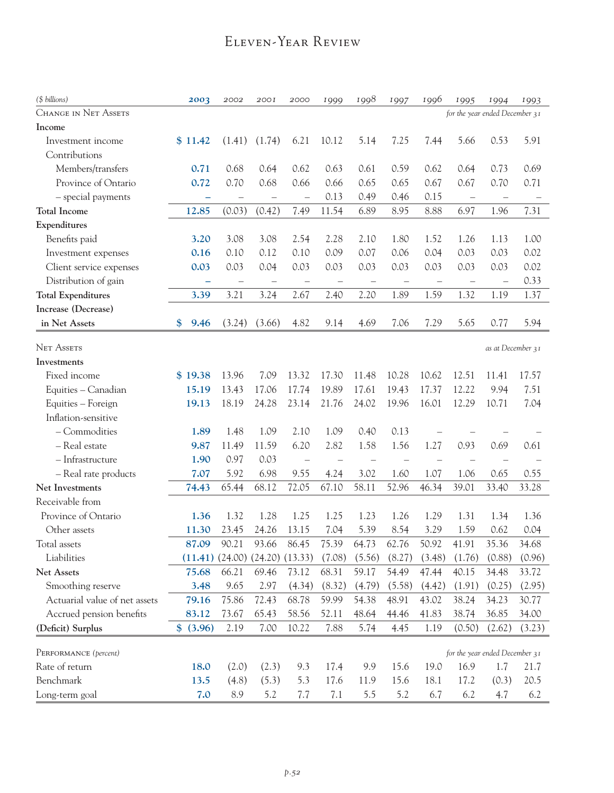# Eleven-Year Review

| (\$ billions)                 | 2003                                    | 2002                     | 200 I  | 2000                     | 1999                     | 1998              | 1997                     | 1996                     | 1995                     | 1994                           | 1993   |
|-------------------------------|-----------------------------------------|--------------------------|--------|--------------------------|--------------------------|-------------------|--------------------------|--------------------------|--------------------------|--------------------------------|--------|
| <b>CHANGE IN NET ASSETS</b>   |                                         |                          |        |                          |                          |                   |                          |                          |                          | for the year ended December 31 |        |
| Income                        |                                         |                          |        |                          |                          |                   |                          |                          |                          |                                |        |
| Investment income             | \$11.42                                 | (1.41)                   | (1.74) | 6.21                     | 10.12                    | 5.14              | 7.25                     | 7.44                     | 5.66                     | 0.53                           | 5.91   |
| Contributions                 |                                         |                          |        |                          |                          |                   |                          |                          |                          |                                |        |
| Members/transfers             | 0.71                                    | 0.68                     | 0.64   | 0.62                     | 0.63                     | 0.61              | 0.59                     | 0.62                     | 0.64                     | 0.73                           | 0.69   |
| Province of Ontario           | 0.72                                    | 0.70                     | 0.68   | 0.66                     | 0.66                     | 0.65              | 0.65                     | 0.67                     | 0.67                     | 0.70                           | 0.71   |
| - special payments            | $\qquad \qquad \longleftarrow$          | $\overline{\phantom{0}}$ |        | $\qquad \qquad -$        | 0.13                     | 0.49              | 0.46                     | 0.15                     | $\qquad \qquad -$        | $\qquad \qquad -$              |        |
| <b>Total Income</b>           | 12.85                                   | (0.03)                   | (0.42) | 7.49                     | 11.54                    | 6.89              | 8.95                     | 8.88                     | 6.97                     | 1.96                           | 7.31   |
| Expenditures                  |                                         |                          |        |                          |                          |                   |                          |                          |                          |                                |        |
| Benefits paid                 | 3.20                                    | 3.08                     | 3.08   | 2.54                     | 2.28                     | 2.10              | 1.80                     | 1.52                     | 1.26                     | 1.13                           | 1.00   |
| Investment expenses           | 0.16                                    | 0.10                     | 0.12   | 0.10                     | 0.09                     | 0.07              | 0.06                     | 0.04                     | 0.03                     | 0.03                           | 0.02   |
| Client service expenses       | 0.03                                    | 0.03                     | 0.04   | 0.03                     | 0.03                     | 0.03              | 0.03                     | 0.03                     | 0.03                     | 0.03                           | 0.02   |
| Distribution of gain          | ÷                                       | $\overline{\phantom{0}}$ |        | $\qquad \qquad -$        | $\overline{\phantom{0}}$ | $\qquad \qquad -$ | $\overline{\phantom{m}}$ | $\overline{\phantom{0}}$ | $\overline{\phantom{0}}$ | $\overline{\phantom{0}}$       | 0.33   |
| <b>Total Expenditures</b>     | 3.39                                    | 3.21                     | 3.24   | 2.67                     | 2.40                     | 2.20              | 1.89                     | 1.59                     | 1.32                     | 1.19                           | 1.37   |
| Increase (Decrease)           |                                         |                          |        |                          |                          |                   |                          |                          |                          |                                |        |
| in Net Assets                 | \$<br>9.46                              | (3.24)                   | (3.66) | 4.82                     | 9.14                     | 4.69              | 7.06                     | 7.29                     | 5.65                     | 0.77                           | 5.94   |
|                               |                                         |                          |        |                          |                          |                   |                          |                          |                          |                                |        |
| <b>NET ASSETS</b>             |                                         |                          |        |                          |                          |                   |                          |                          |                          | as at December 31              |        |
| Investments                   |                                         |                          |        |                          |                          |                   |                          |                          |                          |                                |        |
| Fixed income                  | \$19.38                                 | 13.96                    | 7.09   | 13.32                    | 17.30                    | 11.48             | 10.28                    | 10.62                    | 12.51                    | 11.41                          | 17.57  |
| Equities - Canadian           | 15.19                                   | 13.43                    | 17.06  | 17.74                    | 19.89                    | 17.61             | 19.43                    | 17.37                    | 12.22                    | 9.94                           | 7.51   |
| Equities - Foreign            | 19.13                                   | 18.19                    | 24.28  | 23.14                    | 21.76                    | 24.02             | 19.96                    | 16.01                    | 12.29                    | 10.71                          | 7.04   |
| Inflation-sensitive           |                                         |                          |        |                          |                          |                   |                          |                          |                          |                                |        |
| - Commodities                 | 1.89                                    | 1.48                     | 1.09   | 2.10                     | 1.09                     | 0.40              | 0.13                     |                          |                          |                                |        |
| - Real estate                 | 9.87                                    | 11.49                    | 11.59  | 6.20                     | 2.82                     | 1.58              | 1.56                     | 1.27                     | 0.93                     | 0.69                           | 0.61   |
| $-$ Infrastructure            | 1.90                                    | 0.97                     | 0.03   | $\overline{\phantom{0}}$ |                          |                   |                          |                          |                          |                                |        |
| - Real rate products          | 7.07                                    | 5.92                     | 6.98   | 9.55                     | 4.24                     | 3.02              | 1.60                     | 1.07                     | 1.06                     | 0.65                           | 0.55   |
| Net Investments               | 74.43                                   | 65.44                    | 68.12  | 72.05                    | 67.10                    | 58.11             | 52.96                    | 46.34                    | 39.01                    | 33.40                          | 33.28  |
| Receivable from               |                                         |                          |        |                          |                          |                   |                          |                          |                          |                                |        |
| Province of Ontario           | 1.36                                    | 1.32                     | 1.28   | 1.25                     | 1.25                     | 1.23              | 1.26                     | 1.29                     | 1.31                     | 1.34                           | 1.36   |
| Other assets                  | 11.30                                   | 23.45                    | 24.26  | 13.15                    | 7.04                     | 5.39              | 8.54                     | 3.29                     | 1.59                     | 0.62                           | 0.04   |
| Total assets                  | 87.09                                   | 90.21                    | 93.66  | 86.45                    | 75.39                    | 64.73             | 62.76                    | 50.92                    | 41.91                    | 35.36                          | 34.68  |
| Liabilities                   | $(11.41)$ $(24.00)$ $(24.20)$ $(13.33)$ |                          |        |                          | (7.08)                   | (5.56)            | (8.27)                   | (3.48)                   | (1.76)                   | (0.88)                         | (0.96) |
| Net Assets                    | 75.68                                   | 66.21                    | 69.46  | 73.12                    | 68.31                    | 59.17             | 54.49                    | 47.44                    | 40.15                    | 34.48                          | 33.72  |
| Smoothing reserve             | 3.48                                    | 9.65                     | 2.97   | (4.34)                   | (8.32)                   | (4.79)            | (5.58)                   | (4.42)                   | (1.91)                   | (0.25)                         | (2.95) |
| Actuarial value of net assets | 79.16                                   | 75.86                    | 72.43  | 68.78                    | 59.99                    | 54.38             | 48.91                    | 43.02                    | 38.24                    | 34.23                          | 30.77  |
| Accrued pension benefits      | 83.12                                   | 73.67                    | 65.43  | 58.56                    | 52.11                    | 48.64             | 44.46                    | 41.83                    | 38.74                    | 36.85                          | 34.00  |
| (Deficit) Surplus             | \$ (3.96)                               | 2.19                     | 7.00   | 10.22                    | 7.88                     | 5.74              | 4.45                     | 1.19                     | (0.50)                   | (2.62)                         | (3.23) |
| PERFORMANCE (percent)         |                                         |                          |        |                          |                          |                   |                          |                          |                          | for the year ended December 31 |        |
| Rate of return                | 18.0                                    | (2.0)                    | (2.3)  | 9.3                      | 17.4                     | 9.9               | 15.6                     | 19.0                     | 16.9                     | 1.7                            | 21.7   |
| Benchmark                     | 13.5                                    | (4.8)                    | (5.3)  | 5.3                      | 17.6                     | 11.9              | 15.6                     | 18.1                     | 17.2                     | (0.3)                          | 20.5   |
| Long-term goal                | 7.0                                     | 8.9                      | 5.2    | 7.7                      | 7.1                      | 5.5               | 5.2                      | 6.7                      | 6.2                      | 4.7                            | 6.2    |